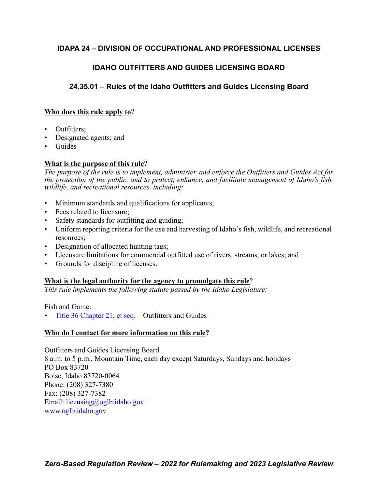# **IDAPA 24 – DIVISION OF OCCUPATIONAL AND PROFESSIONAL LICENSES**

# **IDAHO OUTFITTERS AND GUIDES LICENSING BOARD**

# **24.35.01 – Rules of the Idaho Outfitters and Guides Licensing Board**

# **Who does this rule apply to**?

- Outfitters;
- Designated agents; and
- **Guides**

# **What is the purpose of this rule**?

*The purpose of the rule is to implement, administer, and enforce the Outfitters and Guides Act for the protection of the public, and to protect, enhance, and facilitate management of Idaho's fish, wildlife, and recreational resources, including:*

- Minimum standards and qualifications for applicants;
- Fees related to licensure:
- Safety standards for outfitting and guiding;
- Uniform reporting criteria for the use and harvesting of Idaho's fish, wildlife, and recreational resources;
- Designation of allocated hunting tags;
- Licensure limitations for commercial outfitted use of rivers, streams, or lakes; and
- Grounds for discipline of licenses.

# **What is the legal authority for the agency to promulgate this rule**?

*This rule implements the following statute passed by the Idaho Legislature:*

Fish and Game:

• [Title 36 Chapter 21, et seq.](https://legislature.idaho.gov/statutesrules/idstat/title36/t36ch21/) – Outfitters and Guides

# **Who do I contact for more information on this rule?**

Outfitters and Guides Licensing Board 8 a.m. to 5 p.m., Mountain Time, each day except Saturdays, Sundays and holidays PO Box 83720 Boise, Idaho 83720-0064 Phone: (208) 327-7380 Fax: (208) 327-7382 Email: [licensing@oglb.idaho.gov](mailto:licensing@oglb.idaho.gov) [www.oglb.idaho.gov](http:www.oglb.idaho.gov)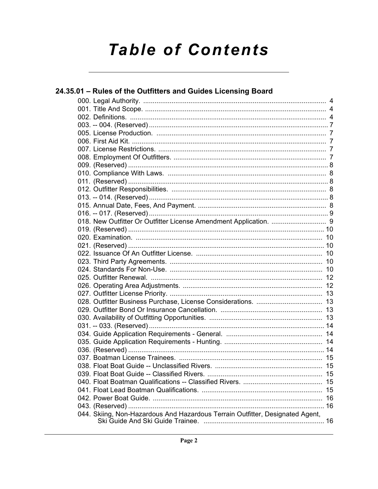# **Table of Contents**

| 24.35.01 - Rules of the Outfitters and Guides Licensing Board                 |  |
|-------------------------------------------------------------------------------|--|
|                                                                               |  |
|                                                                               |  |
|                                                                               |  |
|                                                                               |  |
|                                                                               |  |
|                                                                               |  |
|                                                                               |  |
|                                                                               |  |
|                                                                               |  |
|                                                                               |  |
|                                                                               |  |
|                                                                               |  |
|                                                                               |  |
|                                                                               |  |
|                                                                               |  |
|                                                                               |  |
|                                                                               |  |
|                                                                               |  |
|                                                                               |  |
|                                                                               |  |
|                                                                               |  |
|                                                                               |  |
|                                                                               |  |
|                                                                               |  |
|                                                                               |  |
|                                                                               |  |
|                                                                               |  |
|                                                                               |  |
|                                                                               |  |
|                                                                               |  |
|                                                                               |  |
|                                                                               |  |
|                                                                               |  |
|                                                                               |  |
|                                                                               |  |
|                                                                               |  |
|                                                                               |  |
|                                                                               |  |
|                                                                               |  |
| 044. Skiing, Non-Hazardous And Hazardous Terrain Outfitter, Designated Agent, |  |
|                                                                               |  |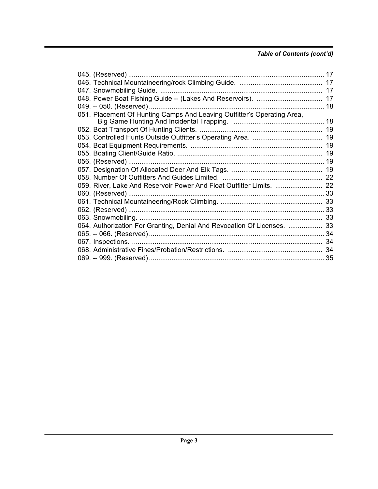# *Table of Contents (cont'd)*

| 051. Placement Of Hunting Camps And Leaving Outfitter's Operating Area, |  |
|-------------------------------------------------------------------------|--|
|                                                                         |  |
|                                                                         |  |
|                                                                         |  |
|                                                                         |  |
|                                                                         |  |
|                                                                         |  |
|                                                                         |  |
|                                                                         |  |
| 059. River, Lake And Reservoir Power And Float Outfitter Limits.  22    |  |
|                                                                         |  |
|                                                                         |  |
|                                                                         |  |
|                                                                         |  |
| 064. Authorization For Granting, Denial And Revocation Of Licenses.  33 |  |
|                                                                         |  |
|                                                                         |  |
|                                                                         |  |
|                                                                         |  |
|                                                                         |  |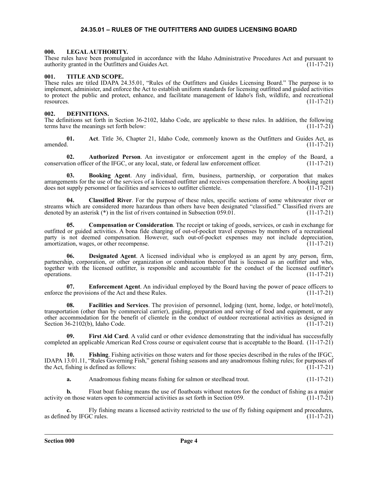### **24.35.01 – RULES OF THE OUTFITTERS AND GUIDES LICENSING BOARD**

#### <span id="page-3-1"></span><span id="page-3-0"></span>**000. LEGAL AUTHORITY.**

These rules have been promulgated in accordance with the Idaho Administrative Procedures Act and pursuant to authority granted in the Outfitters and Guides Act. (11-17-21)

### <span id="page-3-2"></span>**001. TITLE AND SCOPE.**

These rules are titled IDAPA 24.35.01, "Rules of the Outfitters and Guides Licensing Board." The purpose is to implement, administer, and enforce the Act to establish uniform standards for licensing outfitted and guided activities to protect the public and protect, enhance, and facilitate management of Idaho's fish, wildlife, and recreational resources. (11-17-21)

#### <span id="page-3-3"></span>**002. DEFINITIONS.**

The definitions set forth in Section 36-2102, Idaho Code, are applicable to these rules. In addition, the following terms have the meanings set forth below:

**01. Act**. Title 36, Chapter 21, Idaho Code, commonly known as the Outfitters and Guides Act, as amended. (11-17-21)

**02. Authorized Person**. An investigator or enforcement agent in the employ of the Board, a tion officer of the IFGC, or any local, state, or federal law enforcement officer. (11-17-21) conservation officer of the IFGC, or any local, state, or federal law enforcement officer.

**03. Booking Agent**. Any individual, firm, business, partnership, or corporation that makes arrangements for the use of the services of a licensed outfitter and receives compensation therefore. A booking agent does not supply personnel or facilities and services to outfitter clientele. (11-17-21)

**04. Classified River**. For the purpose of these rules, specific sections of some whitewater river or streams which are considered more hazardous than others have been designated "classified." Classified rivers are denoted by an asterisk (\*) in the list of rivers contained in Subsection 059.01. (11-17-21)

**05. Compensation or Consideration**. The receipt or taking of goods, services, or cash in exchange for outfitted or guided activities. A bona fide charging of out-of-pocket travel expenses by members of a recreational party is not deemed compensation. However, such out-of-pocket expenses may not include depreciation, amortization, wages or other recompense. amortization, wages, or other recompense.

**06. Designated Agent**. A licensed individual who is employed as an agent by any person, firm, partnership, corporation, or other organization or combination thereof that is licensed as an outfitter and who, together with the licensed outfitter, is responsible and accountable for the conduct of the licensed outfitter's operations. (11-17-21) operations. (11-17-21)

**07. Enforcement Agent**. An individual employed by the Board having the power of peace officers to enforce the provisions of the Act and these Rules. (11-17-21)

**08. Facilities and Services**. The provision of personnel, lodging (tent, home, lodge, or hotel/motel), transportation (other than by commercial carrier), guiding, preparation and serving of food and equipment, or any other accommodation for the benefit of clientele in the conduct of outdoor recreational activities as designed in Section 36-2102(b), Idaho Code. (11-17-21)

First Aid Card. A valid card or other evidence demonstrating that the individual has successfully completed an applicable American Red Cross course or equivalent course that is acceptable to the Board. (11-17-21)

**10. Fishing**. Fishing activities on those waters and for those species described in the rules of the IFGC, IDAPA 13.01.11, "Rules Governing Fish," general fishing seasons and any anadromous fishing rules; for purposes of the Act, fishing is defined as follows:

**a.** Anadromous fishing means fishing for salmon or steelhead trout. (11-17-21)

**b.** Float boat fishing means the use of floatboats without motors for the conduct of fishing as a major activity on those waters open to commercial activities as set forth in Section 059. (11-17-21)

Fly fishing means a licensed activity restricted to the use of fly fishing equipment and procedures, as defined by IFGC rules. (11-17-21)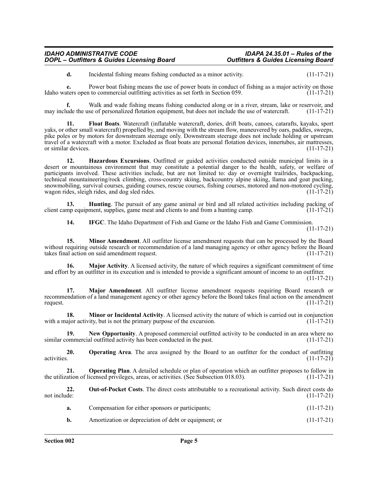**d.** Incidental fishing means fishing conducted as a minor activity. (11-17-21)

**e.** Power boat fishing means the use of power boats in conduct of fishing as a major activity on those there is open to commercial outfitting activities as set forth in Section 059. Idaho waters open to commercial outfitting activities as set forth in Section 059.

**f.** Walk and wade fishing means fishing conducted along or in a river, stream, lake or reservoir, and ude the use of personalized flotation equipment, but does not include the use of watercraft. (11-17-21) may include the use of personalized flotation equipment, but does not include the use of watercraft.

**11. Float Boats**. Watercraft (inflatable watercraft, dories, drift boats, canoes, catarafts, kayaks, sport yaks, or other small watercraft) propelled by, and moving with the stream flow, maneuvered by oars, paddles, sweeps, pike poles or by motors for downstream steerage only. Downstream steerage does not include holding or upstream travel of a watercraft with a motor. Excluded as float boats are personal flotation devices, innertubes, air mattresses, or similar devices. (11-17-21) or similar devices.

**12. Hazardous Excursions**. Outfitted or guided activities conducted outside municipal limits in a desert or mountainous environment that may constitute a potential danger to the health, safety, or welfare of participants involved. These activities include, but are not limited to: day or overnight trailrides, backpacking, technical mountaineering/rock climbing, cross-country skiing, backcountry alpine skiing, llama and goat packing, snowmobiling, survival courses, guiding courses, rescue courses, fishing courses, motored and non-motored cycling, wagon rides, sleigh rides, and dog sled rides. wagon rides, sleigh rides, and dog sled rides.

**13. Hunting**. The pursuit of any game animal or bird and all related activities including packing of mp equipment, supplies, game meat and clients to and from a hunting camp. (11-17-21) client camp equipment, supplies, game meat and clients to and from a hunting camp.

**14. IFGC**. The Idaho Department of Fish and Game or the Idaho Fish and Game Commission.

(11-17-21)

**15. Minor Amendment**. All outfitter license amendment requests that can be processed by the Board without requiring outside research or recommendation of a land managing agency or other agency before the Board takes final action on said amendment request. (11-17-21)

**16. Major Activity**. A licensed activity, the nature of which requires a significant commitment of time and effort by an outfitter in its execution and is intended to provide a significant amount of income to an outfitter.

(11-17-21)

**17. Major Amendment**. All outfitter license amendment requests requiring Board research or recommendation of a land management agency or other agency before the Board takes final action on the amendment request.  $(11-17-21)$ 

**18. Minor or Incidental Activity**. A licensed activity the nature of which is carried out in conjunction with a major activity, but is not the primary purpose of the excursion.  $(1\bar{1}$ -17-21)

**19.** New Opportunity. A proposed commercial outfitted activity to be conducted in an area where no ommercial outfitted activity has been conducted in the past. (11-17-21) similar commercial outfitted activity has been conducted in the past.

**20. 20. Operating Area**. The area assigned by the Board to an outfitter for the conduct of outfitting activities. (11-17-21) activities. (11-17-21)

**21. Operating Plan**. A detailed schedule or plan of operation which an outfitter proposes to follow in ation of licensed privileges, areas, or activities. (See Subsection 018.03). (11-17-21) the utilization of licensed privileges, areas, or activities. (See Subsection 018.03).

**22.** Out-of-Pocket Costs. The direct costs attributable to a recreational activity. Such direct costs do not include: (11-17-21) not include: (11-17-21)

| a. | Compensation for either sponsors or participants: |  |  | $(11-17-21)$ |
|----|---------------------------------------------------|--|--|--------------|
|----|---------------------------------------------------|--|--|--------------|

**b.** Amortization or depreciation of debt or equipment; or (11-17-21)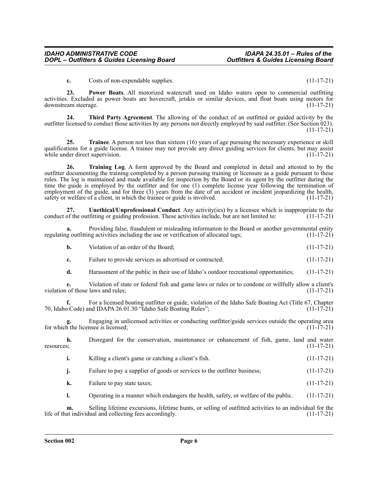**c.** Costs of non-expendable supplies. (11-17-21)

**23. Power Boats**. All motorized watercraft used on Idaho waters open to commercial outfitting activities. Excluded as power boats are hovercraft, jetskis or similar devices, and float boats using motors for downstream steerage. (11-17-21)

**24. Third Party Agreement**. The allowing of the conduct of an outfitted or guided activity by the outfitter licensed to conduct those activities by any persons not directly employed by said outfitter. (See Section 023). (11-17-21)

**25.** Trainee. A person not less than sixteen (16) years of age pursuing the necessary experience or skill qualifications for a guide license. A trainee may not provide any direct guiding services for clients, but may assist while under direct supervision. (11-17-21)

**26. Training Log**. A form approved by the Board and completed in detail and attested to by the outfitter documenting the training completed by a person pursuing training or licensure as a guide pursuant to these rules. The log is maintained and made available for inspection by the Board or its agent by the outfitter during the time the guide is employed by the outfitter and for one (1) complete license year following the termination of employment of the guide, and for three (3) years from the date of an accident or incident jeopardizing the health, safety or welfare of a client, in which the trainee or guide is involved. (11-17-21) safety or welfare of a client, in which the trainee or guide is involved.

**27. Unethical/Unprofessional Conduct**. Any activity(ies) by a licensee which is inappropriate to the conduct of the outfitting or guiding profession. These activities include, but are not limited to:  $(11-17-21)$ 

**a.** Providing false, fraudulent or misleading information to the Board or another governmental entity regulating outfitting activities including the use or verification of allocated tags; (11-17-21)

| b. | Violation of an order of the Board: | $(11-17-21)$ |  |
|----|-------------------------------------|--------------|--|
|    |                                     |              |  |

- **c.** Failure to provide services as advertised or contracted;  $(11-17-21)$
- **d.** Harassment of the public in their use of Idaho's outdoor recreational opportunities;  $(11-17-21)$

**e.** Violation of state or federal fish and game laws or rules or to condone or willfully allow a client's violation of those laws and rules; (11-17-21)

**f.** For a licensed boating outfitter or guide, violation of the Idaho Safe Boating Act (Title 67, Chapter 70, Idaho Code) and IDAPA 26.01.30 "Idaho Safe Boating Rules"; (11-17-21)

**g.** Engaging in unlicensed activities or conducting outfitter/guide services outside the operating area for which the licensee is licensed; (11-17-21)

**h.** Disregard for the conservation, maintenance or enhancement of fish, game, land and water resources; (11-17-21)

- **i.** Killing a client's game or catching a client's fish. (11-17-21)
	- **j.** Failure to pay a supplier of goods or services to the outfitter business; (11-17-21)
	- **k.** Failure to pay state taxes; (11-17-21)
	- **l.** Operating in a manner which endangers the health, safety, or welfare of the public. (11-17-21)

**m.** Selling lifetime excursions, lifetime hunts, or selling of outfitted activities to an individual for the at individual and collecting fees accordingly. (11-17-21) life of that individual and collecting fees accordingly.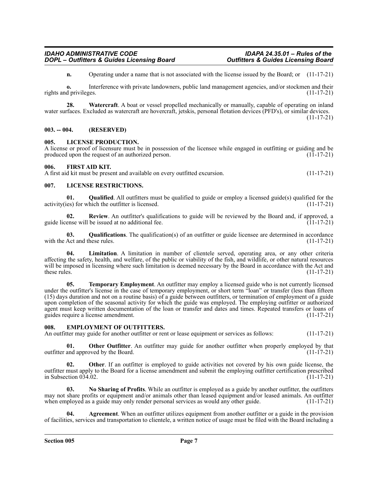**n.** Operating under a name that is not associated with the license issued by the Board; or (11-17-21)

**o.** Interference with private landowners, public land management agencies, and/or stockmen and their rights and privileges. (11-17-21)

**28. Watercraft**. A boat or vessel propelled mechanically or manually, capable of operating on inland water surfaces. Excluded as watercraft are hovercraft, jetskis, personal flotation devices (PFD's), or similar devices. (11-17-21)

#### <span id="page-6-0"></span>**003. -- 004. (RESERVED)**

#### <span id="page-6-1"></span>**005. LICENSE PRODUCTION.**

A license or proof of licensure must be in possession of the licensee while engaged in outfitting or guiding and be produced upon the request of an authorized person. (11-17-21)

#### <span id="page-6-2"></span>**006. FIRST AID KIT.**

A first aid kit must be present and available on every outfitted excursion. (11-17-21)

#### <span id="page-6-3"></span>**007. LICENSE RESTRICTIONS.**

**01.** Qualified. All outfitters must be qualified to guide or employ a licensed guide(s) qualified for the es) for which the outfitter is licensed. (11-17-21) activity(ies) for which the outfitter is licensed.

**02. Review**. An outfitter's qualifications to guide will be reviewed by the Board and, if approved, a guide license will be issued at no additional fee.  $(11-17-21)$ 

**03.** Qualifications. The qualification(s) of an outfitter or guide licensee are determined in accordance Act and these rules. (11-17-21) with the Act and these rules.

**04. Limitation**. A limitation in number of clientele served, operating area, or any other criteria affecting the safety, health, and welfare, of the public or viability of the fish, and wildlife, or other natural resources will be imposed in licensing where such limitation is deemed necessary by the Board in accordance with the Act and these rules.  $(11-17-21)$ 

**05. Temporary Employment**. An outfitter may employ a licensed guide who is not currently licensed under the outfitter's license in the case of temporary employment, or short term "loan" or transfer (less than fifteen (15) days duration and not on a routine basis) of a guide between outfitters, or termination of employment of a guide upon completion of the seasonal activity for which the guide was employed. The employing outfitter or authorized agent must keep written documentation of the loan or transfer and dates and times. Repeated transfers or loans of guides require a license amendment. (11-17-21) guides require a license amendment.

#### <span id="page-6-4"></span>**008. EMPLOYMENT OF OUTFITTERS.**

An outfitter may guide for another outfitter or rent or lease equipment or services as follows: (11-17-21)

**01. Other Outfitter**. An outfitter may guide for another outfitter when properly employed by that and approved by the Board. (11-17-21) outfitter and approved by the Board.

**Other**. If an outfitter is employed to guide activities not covered by his own guide license, the outfitter must apply to the Board for a license amendment and submit the employing outfitter certification prescribed in Subsection  $034.02$ .

**03. No Sharing of Profits**. While an outfitter is employed as a guide by another outfitter, the outfitters may not share profits or equipment and/or animals other than leased equipment and/or leased animals. An outfitter when employed as a guide may only render personal services as would any other guide. (11-17-21)

**Agreement**. When an outfitter utilizes equipment from another outfitter or a guide in the provision of facilities, services and transportation to clientele, a written notice of usage must be filed with the Board including a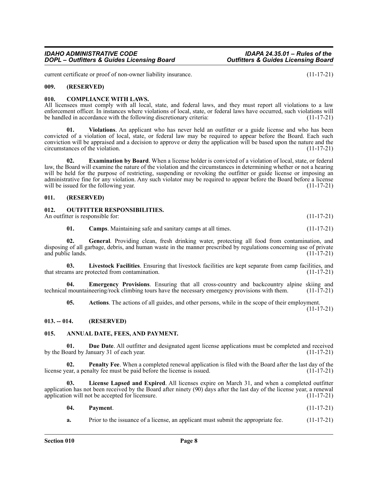current certificate or proof of non-owner liability insurance. (11-17-21)

#### <span id="page-7-0"></span>**009. (RESERVED)**

#### <span id="page-7-1"></span>**010. COMPLIANCE WITH LAWS.**

All licensees must comply with all local, state, and federal laws, and they must report all violations to a law enforcement officer. In instances where violations of local, state, or federal laws have occurred, such violations will be handled in accordance with the following discretionary criteria: (11-17-21)

**01. Violations**. An applicant who has never held an outfitter or a guide license and who has been convicted of a violation of local, state, or federal law may be required to appear before the Board. Each such conviction will be appraised and a decision to approve or deny the application will be based upon the nature and the circumstances of the violation.

**02. Examination by Board**. When a license holder is convicted of a violation of local, state, or federal law, the Board will examine the nature of the violation and the circumstances in determining whether or not a hearing will be held for the purpose of restricting, suspending or revoking the outfitter or guide license or imposing an administrative fine for any violation. Any such violator may be required to appear before the Board before a license will be issued for the following year. (11-17-21)

#### <span id="page-7-2"></span>**011. (RESERVED)**

#### <span id="page-7-3"></span>**012. OUTFITTER RESPONSIBILITIES.**

An outfitter is responsible for: (11-17-21)

**01. Camps**. Maintaining safe and sanitary camps at all times. (11-17-21)

**02. General**. Providing clean, fresh drinking water, protecting all food from contamination, and disposing of all garbage, debris, and human waste in the manner prescribed by regulations concerning use of private and public lands. (11-17-21)

**03. Livestock Facilities**. Ensuring that livestock facilities are kept separate from camp facilities, and that streams are protected from contamination. (11-17-21)

**04. Emergency Provisions**. Ensuring that all cross-country and backcountry alpine skiing and technical mountaineering/rock climbing tours have the necessary emergency provisions with them. (11-17-21)

**05. Actions**. The actions of all guides, and other persons, while in the scope of their employment.

(11-17-21)

#### <span id="page-7-4"></span>**013. -- 014. (RESERVED)**

#### <span id="page-7-5"></span>**015. ANNUAL DATE, FEES, AND PAYMENT.**

**01. Due Date**. All outfitter and designated agent license applications must be completed and received oard by January 31 of each year. (11-17-21) by the Board by January 31 of each year.

**02. Penalty Fee**. When a completed renewal application is filed with the Board after the last day of the license year, a penalty fee must be paid before the license is issued. (11-17-21)

**03. License Lapsed and Expired**. All licenses expire on March 31, and when a completed outfitter application has not been received by the Board after ninety (90) days after the last day of the license year, a renewal application will not be accepted for licensure. (11-17-21)

| 04. | Payment. |  | $(11-17-21)$ |
|-----|----------|--|--------------|
|-----|----------|--|--------------|

**a.** Prior to the issuance of a license, an applicant must submit the appropriate fee.  $(11-17-21)$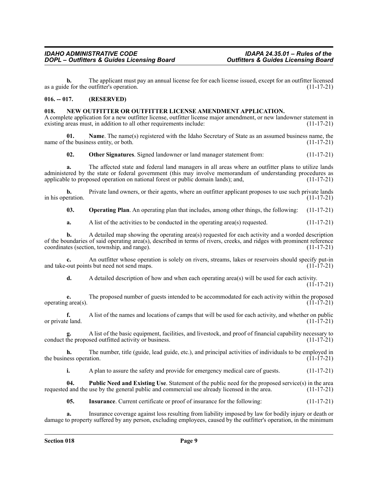**b.** The applicant must pay an annual license fee for each license issued, except for an outfitter licensed as a guide for the outfitter's operation. (11-17-21)

### <span id="page-8-0"></span>**016. -- 017. (RESERVED)**

#### <span id="page-8-1"></span>**018. NEW OUTFITTER OR OUTFITTER LICENSE AMENDMENT APPLICATION.**

A complete application for a new outfitter license, outfitter license major amendment, or new landowner statement in existing areas must, in addition to all other requirements include: (11-17-21)

**01. Name**. The name(s) registered with the Idaho Secretary of State as an assumed business name, the name of the business entity, or both.  $(11-17-21)$ 

**02. Other Signatures**. Signed landowner or land manager statement from: (11-17-21)

**a.** The affected state and federal land managers in all areas where an outfitter plans to utilize lands administered by the state or federal government (this may involve memorandum of understanding procedures as applicable to proposed operation on national forest or public domain lands); and, (11-17-21)

**b.** Private land owners, or their agents, where an outfitter applicant proposes to use such private lands in his operation.  $(11-17-21)$ 

**03. Operating Plan**. An operating plan that includes, among other things, the following: (11-17-21)

**a.** A list of the activities to be conducted in the operating area(s) requested. (11-17-21)

**b.** A detailed map showing the operating area(s) requested for each activity and a worded description of the boundaries of said operating area(s), described in terms of rivers, creeks, and ridges with prominent reference coordinates (section, township, and range). (11-17-21) coordinates (section, township, and range).

**c.** An outfitter whose operation is solely on rivers, streams, lakes or reservoirs should specify put-in-<br>out points but need not send maps. (11-17-21) and take-out points but need not send maps.

**d.** A detailed description of how and when each operating area(s) will be used for each activity.  $(11 - 17 - 21)$ 

**e.** The proposed number of guests intended to be accommodated for each activity within the proposed g area(s). (11-17-21) operating  $area(s)$ .

**f.** A list of the names and locations of camps that will be used for each activity, and whether on public e land. (11-17-21) or private land.

**g.** A list of the basic equipment, facilities, and livestock, and proof of financial capability necessary to conduct the proposed outfitted activity or business.

**h.** The number, title (guide, lead guide, etc.), and principal activities of individuals to be employed in the business operation.  $(11-17-21)$ 

**i.** A plan to assure the safety and provide for emergency medical care of guests. (11-17-21)

**04. Public Need and Existing Use**. Statement of the public need for the proposed service(s) in the area requested and the use by the general public and commercial use already licensed in the area. (11-17-21)

**05.** Insurance. Current certificate or proof of insurance for the following:  $(11-17-21)$ 

**a.** Insurance coverage against loss resulting from liability imposed by law for bodily injury or death or damage to property suffered by any person, excluding employees, caused by the outfitter's operation, in the minimum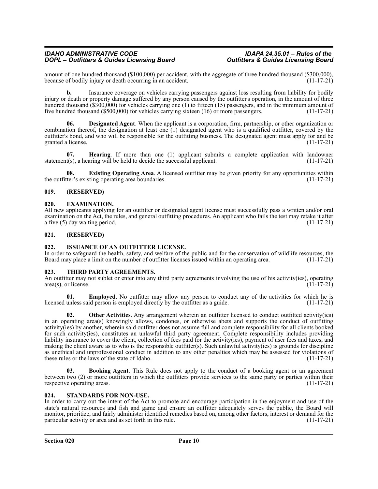amount of one hundred thousand (\$100,000) per accident, with the aggregate of three hundred thousand (\$300,000), because of bodily injury or death occurring in an accident. because of bodily injury or death occurring in an accident.

**b.** Insurance coverage on vehicles carrying passengers against loss resulting from liability for bodily injury or death or property damage suffered by any person caused by the outfitter's operation, in the amount of three hundred thousand (\$300,000) for vehicles carrying one (1) to fifteen (15) passengers, and in the minimum amount of five hundred thousand (\$500,000) for vehicles carrying sixteen (16) or more passengers. (11-17-21) five hundred thousand  $(\$500,000)$  for vehicles carrying sixteen  $(16)$  or more passengers.

**Designated Agent**. When the applicant is a corporation, firm, partnership, or other organization or combination thereof, the designation at least one (1) designated agent who is a qualified outfitter, covered by the outfitter's bond, and who will be responsible for the outfitting business. The designated agent must apply for and be granted a license. (11-17-21)

**07. Hearing**. If more than one (1) applicant submits a complete application with landowner statement(s), a hearing will be held to decide the successful applicant. (11-17-21)

**08. Existing Operating Area**. A licensed outfitter may be given priority for any opportunities within the outfitter's existing operating area boundaries. (11-17-21)

### <span id="page-9-0"></span>**019. (RESERVED)**

#### <span id="page-9-1"></span>**020. EXAMINATION.**

All new applicants applying for an outfitter or designated agent license must successfully pass a written and/or oral examination on the Act, the rules, and general outfitting procedures. An applicant who fails the test may retake it after a five (5) day waiting period. (11-17-21)

#### <span id="page-9-2"></span>**021. (RESERVED)**

#### <span id="page-9-3"></span>**022. ISSUANCE OF AN OUTFITTER LICENSE.**

In order to safeguard the health, safety, and welfare of the public and for the conservation of wildlife resources, the Board may place a limit on the number of outfitter licenses issued within an operating area. (11-17-21 Board may place a limit on the number of outfitter licenses issued within an operating area.

#### <span id="page-9-4"></span>**023. THIRD PARTY AGREEMENTS.**

An outfitter may not sublet or enter into any third party agreements involving the use of his activity(ies), operating area(s), or license. (11-17-21)  $area(s)$ , or license.

**01. Employed**. No outfitter may allow any person to conduct any of the activities for which he is licensed unless said person is employed directly by the outfitter as a guide. (11-17-21)

**02.** Other Activities. Any arrangement wherein an outfitter licensed to conduct outfitted activity(ies) in an operating area(s) knowingly allows, condones, or otherwise abets and supports the conduct of outfitting activity(ies) by another, wherein said outfitter does not assume full and complete responsibility for all clients booked for such activity(ies), constitutes an unlawful third party agreement. Complete responsibility includes providing liability insurance to cover the client, collection of fees paid for the activity(ies), payment of user fees and taxes, and making the client aware as to who is the responsible outfitter(s). Such unlawful activity(ies) is grounds for discipline as unethical and unprofessional conduct in addition to any other penalties which may be assessed for violations of these rules or the laws of the state of Idaho. (11-17-21)

**03. Booking Agent**. This Rule does not apply to the conduct of a booking agent or an agreement between two (2) or more outfitters in which the outfitters provide services to the same party or parties within their respective operating areas. (11-17-21)

### <span id="page-9-5"></span>**024. STANDARDS FOR NON-USE.**

In order to carry out the intent of the Act to promote and encourage participation in the enjoyment and use of the state's natural resources and fish and game and ensure an outfitter adequately serves the public, the Board will monitor, prioritize, and fairly administer identified remedies based on, among other factors, interest or demand for the particular activity or area and as set forth in this rule. (11-17-21)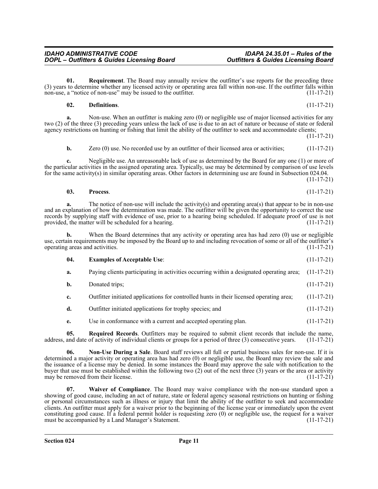non-use, a "notice of non-use" may be issued to the outfitter.

**01.** Requirement. The Board may annually review the outfitter's use reports for the preceding three (3) years to determine whether any licensed activity or operating area fall within non-use. If the outfitter falls within non-use, a "notice of non-use" may be issued to the outfitter.  $(11-17-21)$ 

#### **02. Definitions**. (11-17-21)

**a.** Non-use. When an outfitter is making zero (0) or negligible use of major licensed activities for any two (2) of the three (3) preceding years unless the lack of use is due to an act of nature or because of state or federal agency restrictions on hunting or fishing that limit the ability of the outfitter to seek and accommodate clients;

 $(11-17-21)$ 

**b.** Zero (0) use. No recorded use by an outfitter of their licensed area or activities; (11-17-21)

**c.** Negligible use. An unreasonable lack of use as determined by the Board for any one (1) or more of the particular activities in the assigned operating area. Typically, use may be determined by comparison of use levels for the same activity(s) in similar operating areas. Other factors in determining use are found in Subsection 024.04.

(11-17-21)

$$
03. Process. (11-17-21)
$$

**a.** The notice of non-use will include the activity(s) and operating area(s) that appear to be in non-use and an explanation of how the determination was made. The outfitter will be given the opportunity to correct the use records by supplying staff with evidence of use, prior to a hearing being scheduled. If adequate proof of use is not provided, the matter will be scheduled for a hearing. (11-17-21)

**b.** When the Board determines that any activity or operating area has had zero (0) use or negligible use, certain requirements may be imposed by the Board up to and including revocation of some or all of the outfitter's operating areas and activities. (11-17-21)

| -04 | <b>Examples of Acceptable Use:</b> | $(11-17-21)$ |
|-----|------------------------------------|--------------|
|     |                                    |              |

- **a.** Paying clients participating in activities occurring within a designated operating area; (11-17-21)
- **b.** Donated trips; (11-17-21)
- **c.** Outfitter initiated applications for controlled hunts in their licensed operating area; (11-17-21)
- **d.** Outfitter initiated applications for trophy species; and  $(11-17-21)$
- **e.** Use in conformance with a current and accepted operating plan. (11-17-21)

**05.** Required Records. Outfitters may be required to submit client records that include the name, and date of activity of individual clients or groups for a period of three (3) consecutive years. (11-17-21) address, and date of activity of individual clients or groups for a period of three  $(3)$  consecutive years.

**06. Non-Use During a Sale**. Board staff reviews all full or partial business sales for non-use. If it is determined a major activity or operating area has had zero (0) or negligible use, the Board may review the sale and the issuance of a license may be denied. In some instances the Board may approve the sale with notification to the buyer that use must be established within the following two (2) out of the next three (3) years or the area or activity may be removed from their license. may be removed from their license.

**Waiver of Compliance**. The Board may waive compliance with the non-use standard upon a showing of good cause, including an act of nature, state or federal agency seasonal restrictions on hunting or fishing or personal circumstances such as illness or injury that limit the ability of the outfitter to seek and accommodate clients. An outfitter must apply for a waiver prior to the beginning of the license year or immediately upon the event constituting good cause. If a federal permit holder is requesting zero  $(0)$  or negligible use, the request for a waiver must be accompanied by a Land Manager's Statement. (11-17-21)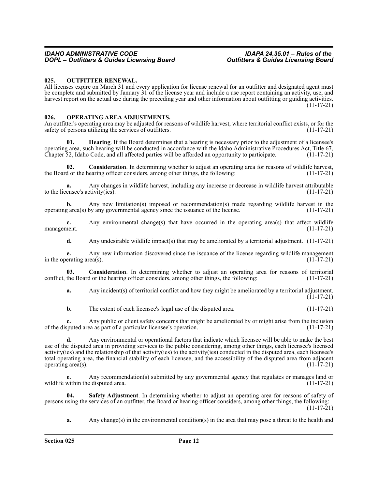#### <span id="page-11-0"></span>**025. OUTFITTER RENEWAL.**

All licenses expire on March 31 and every application for license renewal for an outfitter and designated agent must be complete and submitted by January 31 of the license year and include a use report containing an activity, use, and harvest report on the actual use during the preceding year and other information about outfitting or guiding activities. (11-17-21)

#### <span id="page-11-1"></span>**026. OPERATING AREA ADJUSTMENTS.**

An outfitter's operating area may be adjusted for reasons of wildlife harvest, where territorial conflict exists, or for the safety of persons utilizing the services of outfitters. (11-17-21)

Hearing. If the Board determines that a hearing is necessary prior to the adjustment of a licensee's operating area, such hearing will be conducted in accordance with the Idaho Administrative Procedures Act, Title 67, Chapter 52, Idaho Code, and all affected parties will be afforded an opportunity to participate. (11-17-21)

**02.** Consideration. In determining whether to adjust an operating area for reasons of wildlife harvest, d or the hearing officer considers, among other things, the following: (11-17-21) the Board or the hearing officer considers, among other things, the following:

**a.** Any changes in wildlife harvest, including any increase or decrease in wildlife harvest attributable ensee's activity(ies). (11-17-21) to the licensee's activity(ies).

**b.** Any new limitation(s) imposed or recommendation(s) made regarding wildlife harvest in the g area(s) by any governmental agency since the issuance of the license. (11-17-21) operating  $area(s)$  by any governmental agency since the issuance of the license.

**c.** Any environmental change(s) that have occurred in the operating area(s) that affect wildlife nent. (11-17-21) management.

**d.** Any undesirable wildlife impact(s) that may be ameliorated by a territorial adjustment. (11-17-21)

**e.** Any new information discovered since the issuance of the license regarding wildlife management erating area(s). (11-17-21) in the operating area(s).

**03. Consideration**. In determining whether to adjust an operating area for reasons of territorial conflict, the Board or the hearing officer considers, among other things, the following: (11-17-21)

**a.** Any incident(s) of territorial conflict and how they might be ameliorated by a territorial adjustment.  $(11-17-21)$ 

**b.** The extent of each licensee's legal use of the disputed area.  $(11-17-21)$ 

**c.** Any public or client safety concerns that might be ameliorated by or might arise from the inclusion of the disputed area as part of a particular licensee's operation. (11-17-21)

**d.** Any environmental or operational factors that indicate which licensee will be able to make the best use of the disputed area in providing services to the public considering, among other things, each licensee's licensed activity(ies) and the relationship of that activity(ies) to the activity(ies) conducted in the disputed area, each licensee's total operating area, the financial stability of each licensee, and the accessibility of the disputed area from adjacent operating area(s).  $(11-17-21)$ 

**e.** Any recommendation(s) submitted by any governmental agency that regulates or manages land or wildlife within the disputed area.  $(11-17-21)$ 

**04. Safety Adjustment**. In determining whether to adjust an operating area for reasons of safety of persons using the services of an outfitter, the Board or hearing officer considers, among other things, the following:  $(11-17-21)$ 

**a.** Any change(s) in the environmental condition(s) in the area that may pose a threat to the health and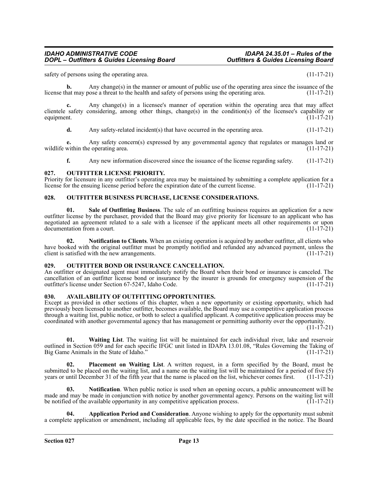safety of persons using the operating area. (11-17-21)

**b.** Any change(s) in the manner or amount of public use of the operating area since the issuance of the halth and safety of persons using the operating area.  $(11-17-21)$ license that may pose a threat to the health and safety of persons using the operating area.

**c.** Any change(s) in a licensee's manner of operation within the operating area that may affect clientele safety considering, among other things, change(s) in the condition(s) of the licensee's capability or equipment.  $(11-17-21)$ equipment.  $(11-17-21)$ 

**d.** Any safety-related incident(s) that have occurred in the operating area. (11-17-21)

**e.** Any safety concern(s) expressed by any governmental agency that regulates or manages land or within the operating area. (11-17-21) wildlife within the operating area.

**f.** Any new information discovered since the issuance of the license regarding safety. (11-17-21)

#### <span id="page-12-0"></span>**027. OUTFITTER LICENSE PRIORITY.**

Priority for licensure in any outfitter's operating area may be maintained by submitting a complete application for a license for the ensuing license period before the expiration date of the current license. (11-17-21)

#### <span id="page-12-1"></span>**028. OUTFITTER BUSINESS PURCHASE, LICENSE CONSIDERATIONS.**

**01. Sale of Outfitting Business**. The sale of an outfitting business requires an application for a new outfitter license by the purchaser, provided that the Board may give priority for licensure to an applicant who has negotiated an agreement related to a sale with a licensee if the applicant meets all other requirements or upon documentation from a court. documentation from a court.

**02. Notification to Clients**. When an existing operation is acquired by another outfitter, all clients who have booked with the original outfitter must be promptly notified and refunded any advanced payment, unless the client is satisfied with the new arrangements. (11-17-21)

#### <span id="page-12-2"></span>**029. OUTFITTER BOND OR INSURANCE CANCELLATION.**

An outfitter or designated agent must immediately notify the Board when their bond or insurance is canceled. The cancellation of an outfitter license bond or insurance by the insurer is grounds for emergency suspension of the outfitter's license under Section 67-5247, Idaho Code. (11-17-21) outfitter's license under Section 67-5247, Idaho Code.

#### <span id="page-12-3"></span>**030. AVAILABILITY OF OUTFITTING OPPORTUNITIES.**

Except as provided in other sections of this chapter, when a new opportunity or existing opportunity, which had previously been licensed to another outfitter, becomes available, the Board may use a competitive application process through a waiting list, public notice, or both to select a qualified applicant. A competitive application process may be coordinated with another governmental agency that has management or permitting authority over the opportunity.

(11-17-21)

**01. Waiting List**. The waiting list will be maintained for each individual river, lake and reservoir outlined in Section 059 and for each specific IFGC unit listed in IDAPA 13.01.08, "Rules Governing the Taking of Big Game Animals in the State of Idaho."

**02. Placement on Waiting List**. A written request, in a form specified by the Board, must be submitted to be placed on the waiting list, and a name on the waiting list will be maintained for a period of five (5) years or until December 31 of the fifth year that the name is placed on the list, whichever comes first years or until December 31 of the fifth year that the name is placed on the list, whichever comes first.

**Notification**. When public notice is used when an opening occurs, a public announcement will be made and may be made in conjunction with notice by another governmental agency. Persons on the waiting list will be notified of the available opportunity in any competitive application process.  $(11-17-21)$ 

**04. Application Period and Consideration**. Anyone wishing to apply for the opportunity must submit a complete application or amendment, including all applicable fees, by the date specified in the notice. The Board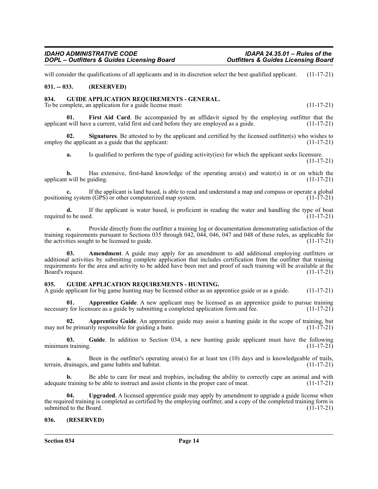will consider the qualifications of all applicants and in its discretion select the best qualified applicant. (11-17-21)

#### <span id="page-13-0"></span>**031. -- 033. (RESERVED)**

### <span id="page-13-1"></span>**034. GUIDE APPLICATION REQUIREMENTS - GENERAL.**

To be complete, an application for a guide license must: (11-17-21)

First Aid Card. Be accompanied by an affidavit signed by the employing outfitter that the applicant will have a current, valid first aid card before they are employed as a guide. (11-17-21)

**02.** Signatures. Be attested to by the applicant and certified by the licensed outfitter(s) who wishes to employ the applicant as a guide that the applicant: (11-17-21)

**a.** Is qualified to perform the type of guiding activity(ies) for which the applicant seeks licensure. (11-17-21)

**b.** Has extensive, first-hand knowledge of the operating area(s) and water(s) in or on which the applicant will be guiding. (11-17-21)

**c.** If the applicant is land based, is able to read and understand a map and compass or operate a global positioning system (GPS) or other computerized map system. (11-17-21)

**d.** If the applicant is water based, is proficient in reading the water and handling the type of boat required to be used.  $(11-17-21)$ 

**e.** Provide directly from the outfitter a training log or documentation demonstrating satisfaction of the training requirements pursuant to Sections 035 through 042, 044, 046, 047 and 048 of these rules, as applicable for the activities sought to be licensed to guide.  $(11-17-21)$ the activities sought to be licensed to guide.

**03. Amendment**. A guide may apply for an amendment to add additional employing outfitters or additional activities by submitting complete application that includes certification from the outfitter that training requirements for the area and activity to be added have been met and proof of such training will be available at the Board's request. (11-17-21)

### <span id="page-13-2"></span>**035. GUIDE APPLICATION REQUIREMENTS - HUNTING.**

A guide applicant for big game hunting may be licensed either as an apprentice guide or as a guide. (11-17-21)

**01. Apprentice Guide**. A new applicant may be licensed as an apprentice guide to pursue training necessary for licensure as a guide by submitting a completed application form and fee.  $(11-17-21)$ 

**02. Apprentice Guide**. An apprentice guide may assist a hunting guide in the scope of training, but may not be primarily responsible for guiding a hunt. (11-17-21)

**03. Guide**. In addition to Section 034, a new hunting guide applicant must have the following minimum training.  $(11-17-21)$ 

**a.** Been in the outfitter's operating area(s) for at least ten (10) days and is knowledgeable of trails, terrain, drainages, and game habits and habitat. (11-17-21)

**b.** Be able to care for meat and trophies, including the ability to correctly cape an animal and with adequate training to be able to instruct and assist clients in the proper care of meat. (11-17-21)

**04. Upgraded**. A licensed apprentice guide may apply by amendment to upgrade a guide license when the required training is completed as certified by the employing outfitter, and a copy of the completed training form is submitted to the Board. (11-17-21) submitted to the Board.

### <span id="page-13-3"></span>**036. (RESERVED)**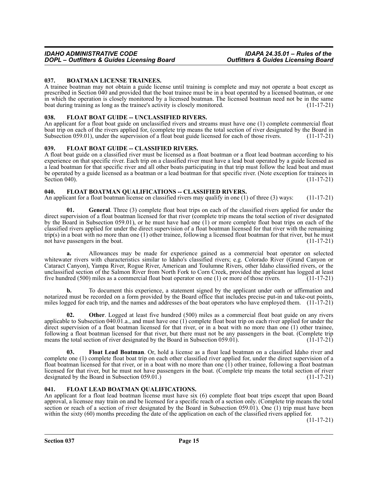### <span id="page-14-0"></span>**037. BOATMAN LICENSE TRAINEES.**

A trainee boatman may not obtain a guide license until training is complete and may not operate a boat except as prescribed in Section 040 and provided that the boat trainee must be in a boat operated by a licensed boatman, or one in which the operation is closely monitored by a licensed boatman. The licensed boatman need not be in the same boat during training as long as the trainee's activity is closely monitored. (11-17-21) (11-17-21)

### <span id="page-14-1"></span>038. FLOAT BOAT GUIDE -- UNCLASSIFIED RIVERS.

An applicant for a float boat guide on unclassified rivers and streams must have one (1) complete commercial float boat trip on each of the rivers applied for, (complete trip means the total section of river designated by the Board in Subsection 059.01), under the supervision of a float boat guide licensed for each of those rivers. (11-17-21)

### <span id="page-14-2"></span>039. FLOAT BOAT GUIDE -- CLASSIFIED RIVERS.

A float boat guide on a classified river must be licensed as a float boatman or a float lead boatman according to his experience on that specific river. Each trip on a classified river must have a lead boat operated by a guide licensed as a lead boatman for that specific river and all other boats participating in that trip must follow the lead boat and must be operated by a guide licensed as a boatman or a lead boatman for that specific river. (Note exception for trainees in Section 040). (11-17-21)

### <span id="page-14-3"></span>**040. FLOAT BOATMAN QUALIFICATIONS -- CLASSIFIED RIVERS.**

An applicant for a float boatman license on classified rivers may qualify in one (1) of three (3) ways: (11-17-21)

**01. General**. Three (3) complete float boat trips on each of the classified rivers applied for under the direct supervision of a float boatman licensed for that river (complete trip means the total section of river designated by the Board in Subsection 059.01), or he must have had one (1) or more complete float boat trips on each of the classified rivers applied for under the direct supervision of a float boatman licensed for that river with the remaining trip(s) in a boat with no more than one (1) other trainee, following a licensed float boatman for that river, but he must<br>not have passengers in the boat. (11-17-21) not have passengers in the boat.

**a.** Allowances may be made for experience gained as a commercial boat operator on selected whitewater rivers with characteristics similar to Idaho's classified rivers; e.g. Colorado River (Grand Canyon or Cataract Canyon), Yampa River, Rogue River, American and Toulumne Rivers, other Idaho classified rivers, or the unclassified section of the Salmon River from North Fork to Corn Creek, provided the applicant has logged at least five hundred (500) miles as a commercial float boat operator on one (1) or more of those rivers. (11-17-21)

**b.** To document this experience, a statement signed by the applicant under oath or affirmation and notarized must be recorded on a form provided by the Board office that includes precise put-in and take-out points, miles logged for each trip, and the names and addresses of the boat operators who have employed them. (11-17-21)

**02. Other**. Logged at least five hundred (500) miles as a commercial float boat guide on any rivers applicable to Subsection 040.01.a., and must have one (1) complete float boat trip on each river applied for under the direct supervision of a float boatman licensed for that river, or in a boat with no more than one (1) other trainee, following a float boatman licensed for that river, but there must not be any passengers in the boat. (Complete trip means the total section of river designated by the Board in Subsection 059.01). (11-17-21) means the total section of river designated by the Board in Subsection 059.01).

**03. Float Lead Boatman**. Or, hold a license as a float lead boatman on a classified Idaho river and complete one (1) complete float boat trip on each other classified river applied for, under the direct supervision of a float boatman licensed for that river, or in a boat with no more than one (1) other trainee, following a float boatman licensed for that river, but he must not have passengers in the boat. (Complete trip means the total section of river designated by the Board in Subsection 059.01.) (11-17-21) designated by the Board in Subsection  $059.01$ .)

### <span id="page-14-4"></span>**041. FLOAT LEAD BOATMAN QUALIFICATIONS.**

An applicant for a float lead boatman license must have six (6) complete float boat trips except that upon Board approval, a licensee may train on and be licensed for a specific reach of a section only. (Complete trip means the total section or reach of a section of river designated by the Board in Subsection 059.01). One (1) trip must have been within the sixty (60) months preceding the date of the application on each of the classified rivers applied for.

(11-17-21)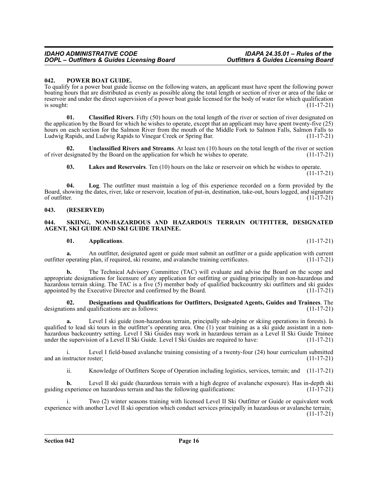#### <span id="page-15-0"></span>**042. POWER BOAT GUIDE.**

To qualify for a power boat guide license on the following waters, an applicant must have spent the following power boating hours that are distributed as evenly as possible along the total length or section of river or area of the lake or reservoir and under the direct supervision of a power boat guide licensed for the body of water for which qualification  $\frac{1}{11-17-21}$  is sought:

**01. Classified Rivers**. Fifty (50) hours on the total length of the river or section of river designated on the application by the Board for which he wishes to operate, except that an applicant may have spent twenty-five (25) hours on each section for the Salmon River from the mouth of the Middle Fork to Salmon Falls, Salmon Falls to<br>Ludwig Rapids to Vinegar Creek or Spring Bar. (11-17-21) Ludwig Rapids, and Ludwig Rapids to Vinegar Creek or Spring Bar.

**02. Unclassified Rivers and Streams**. At least ten (10) hours on the total length of the river or section of river designated by the Board on the application for which he wishes to operate. (11-17-21)

**03. Lakes and Reservoirs**. Ten (10) hours on the lake or reservoir on which he wishes to operate.  $(11-17-21)$ 

**04. Log**. The outfitter must maintain a log of this experience recorded on a form provided by the Board, showing the dates, river, lake or reservoir, location of put-in, destination, take-out, hours logged, and signature of outfitter.  $(11-17-21)$ 

#### <span id="page-15-1"></span>**043. (RESERVED)**

#### <span id="page-15-2"></span>**044. SKIING, NON-HAZARDOUS AND HAZARDOUS TERRAIN OUTFITTER, DESIGNATED AGENT, SKI GUIDE AND SKI GUIDE TRAINEE.**

#### **01. Applications**. (11-17-21)

**a.** An outfitter, designated agent or guide must submit an outfitter or a guide application with current operating plan, if required, ski resume, and avalanche training certificates. (11-17-21) outfitter operating plan, if required, ski resume, and avalanche training certificates.

**b.** The Technical Advisory Committee (TAC) will evaluate and advise the Board on the scope and appropriate designations for licensure of any application for outfitting or guiding principally in non-hazardous and hazardous terrain skiing. The TAC is a five (5) member body of qualified backcountry ski outfitters and ski guides appointed by the Executive Director and confirmed by the Board. (11-17-21)

**02. Designations and Qualifications for Outfitters, Designated Agents, Guides and Trainees**. The designations and qualifications are as follows: (11-17-21)

**a.** Level I ski guide (non-hazardous terrain, principally sub-alpine or skiing operations in forests). Is qualified to lead ski tours in the outfitter's operating area. One (1) year training as a ski guide assistant in a nonhazardous backcountry setting. Level I Ski Guides may work in hazardous terrain as a Level II Ski Guide Trainee under the supervision of a Level II Ski Guide. Level I Ski Guides are required to have: (11-17-21)

i. Level I field-based avalanche training consisting of a twenty-four (24) hour curriculum submitted and an instructor roster; (11-17-21)

ii. Knowledge of Outfitters Scope of Operation including logistics, services, terrain; and (11-17-21)

**b.** Level II ski guide (hazardous terrain with a high degree of avalanche exposure). Has in-depth ski guiding experience on hazardous terrain and has the following qualifications: (11-17-21)

i. Two (2) winter seasons training with licensed Level II Ski Outfitter or Guide or equivalent work experience with another Level II ski operation which conduct services principally in hazardous or avalanche terrain; (11-17-21)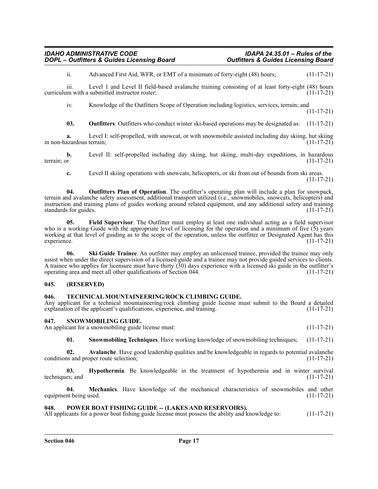ii. Advanced First Aid, WFR, or EMT of a minimum of forty-eight (48) hours; (11-17-21)

iii. Level 1 and Level II field-based avalanche training consisting of at least forty-eight (48) hours curriculum with a submitted instructor roster;

iv. Knowledge of the Outfitters Scope of Operation including logistics, services, terrain; and (11-17-21)

**03. Outfitters**. Outfitters who conduct winter ski-based operations may be designated as: (11-17-21)

**a.** Level I: self-propelled, with snowcat, or with snowmobile assisted including day skiing, hut skiing azardous terrain; in non-hazardous terrain;

**b.** Level II: self-propelled including day skiing, hut skiing, multi-day expeditions, in hazardous terrain; or (11-17-21)

**c.** Level II skiing operations with snowcats, helicopters, or ski from out of bounds from ski areas. (11-17-21)

**04. Outfitters Plan of Operation**. The outfitter's operating plan will include a plan for snowpack, terrain and avalanche safety assessment, additional transport utilized (i.e., snowmobiles, snowcats, helicopters) and instruction and training plans of guides working around related equipment, and any additional safety and training standards for guides.

**05. Field Supervisor**. The Outfitter must employ at least one individual acting as a field supervisor who is a working Guide with the appropriate level of licensing for the operation and a minimum of five (5) years working at that level of guiding as to the scope of the operation, unless the outfitter or Designated Agent has this experience. (11-17-21) experience. (11-17-21)

**06. Ski Guide Trainee**. An outfitter may employ an unlicensed trainee, provided the trainee may only assist when under the direct supervision of a licensed guide and a trainee may not provide guided services to clients. A trainee who applies for licensure must have thirty  $(30)$  days experience with a licensed ski guide in the outfitter's operating area and meet all other qualifications of Section 044. (11-17-21)

### <span id="page-16-0"></span>**045. (RESERVED)**

### <span id="page-16-1"></span>**046. TECHNICAL MOUNTAINEERING/ROCK CLIMBING GUIDE.**

Any applicant for a technical mountaineering/rock climbing guide license must submit to the Board a detailed explanation of the applicant's qualifications, experience, and training. (11-17-21)

### <span id="page-16-2"></span>**047. SNOWMOBILING GUIDE.**

An applicant for a snowmobiling guide license must:  $(11-17-21)$ 

**01. Snowmobiling Techniques**. Have working knowledge of snowmobiling techniques; (11-17-21)

**02. Avalanche**. Have good leadership qualities and be knowledgeable in regards to potential avalanche conditions and proper route selection; (11-17-21)

**03. Hypothermia**. Be knowledgeable in the treatment of hypothermia and in winter survival es; and (11-17-21) techniques; and

**04. Mechanics**. Have knowledge of the mechanical characteristics of snowmobiles and other equipment being used. (11-17-21)

### <span id="page-16-3"></span>**048. POWER BOAT FISHING GUIDE -- (LAKES AND RESERVOIRS).**

All applicants for a power boat fishing guide license must possess the ability and knowledge to: (11-17-21)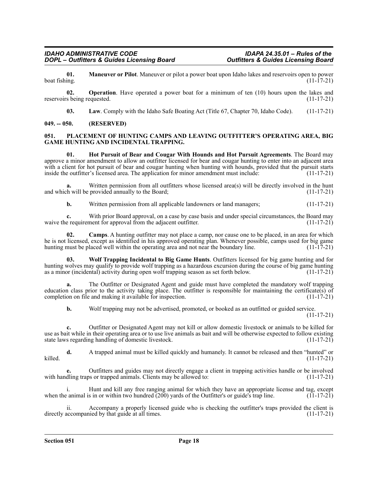**01. Maneuver or Pilot**. Maneuver or pilot a power boat upon Idaho lakes and reservoirs open to power boat fishing.  $(11-17-21)$ 

**02. Operation**. Have operated a power boat for a minimum of ten (10) hours upon the lakes and reservoirs being requested. (11-17-21)

**03.** Law. Comply with the Idaho Safe Boating Act (Title 67, Chapter 70, Idaho Code). (11-17-21)

### <span id="page-17-0"></span>**049. -- 050. (RESERVED)**

#### <span id="page-17-1"></span>**051. PLACEMENT OF HUNTING CAMPS AND LEAVING OUTFITTER'S OPERATING AREA, BIG GAME HUNTING AND INCIDENTAL TRAPPING.**

**01. Hot Pursuit of Bear and Cougar With Hounds and Hot Pursuit Agreements**. The Board may approve a minor amendment to allow an outfitter licensed for bear and cougar hunting to enter into an adjacent area with a client for hot pursuit of bear and cougar hunting when hunting with hounds, provided that the pursuit starts inside the outfitter's licensed area. The application for minor amendment must include: (11-17-21) inside the outfitter's licensed area. The application for minor amendment must include:

**a.** Written permission from all outfitters whose licensed area(s) will be directly involved in the hunt h will be provided annually to the Board; and which will be provided annually to the Board;

**b.** Written permission from all applicable landowners or land managers;  $(11-17-21)$ 

**c.** With prior Board approval, on a case by case basis and under special circumstances, the Board may e requirement for approval from the adjacent outfitter. (11-17-21) waive the requirement for approval from the adjacent outfitter.

**02. Camps**. A hunting outfitter may not place a camp, nor cause one to be placed, in an area for which he is not licensed, except as identified in his approved operating plan. Whenever possible, camps used for big game<br>hunting must be placed well within the operating area and not near the boundary line. (11-17-21) hunting must be placed well within the operating area and not near the boundary line.

**03. Wolf Trapping Incidental to Big Game Hunts**. Outfitters licensed for big game hunting and for hunting wolves may qualify to provide wolf trapping as a hazardous excursion during the course of big game hunting as a minor (incidental) activity during open wolf trapping season as set forth below.  $(11-17-21)$ 

**a.** The Outfitter or Designated Agent and guide must have completed the mandatory wolf trapping education class prior to the activity taking place. The outfitter is responsible for maintaining the certificate(s) of completion on file and making it available for inspection.  $(11-17-21)$ completion on file and making it available for inspection.

**b.** Wolf trapping may not be advertised, promoted, or booked as an outfitted or guided service. (11-17-21)

**c.** Outfitter or Designated Agent may not kill or allow domestic livestock or animals to be killed for use as bait while in their operating area or to use live animals as bait and will be otherwise expected to follow existing state laws regarding handling of domestic livestock. (11-17-21) state laws regarding handling of domestic livestock.

**d.** A trapped animal must be killed quickly and humanely. It cannot be released and then "hunted" or killed. (11-17-21)

Outfitters and guides may not directly engage a client in trapping activities handle or be involved<br>os or trapped animals. Clients may be allowed to: (11-17-21) with handling traps or trapped animals. Clients may be allowed to:

i. Hunt and kill any free ranging animal for which they have an appropriate license and tag, except when the animal is in or within two hundred  $(200)$  yards of the Outfitter's or guide's trap line.  $(11-17-21)$ 

ii. Accompany a properly licensed guide who is checking the outfitter's traps provided the client is accompanied by that guide at all times. directly accompanied by that guide at all times.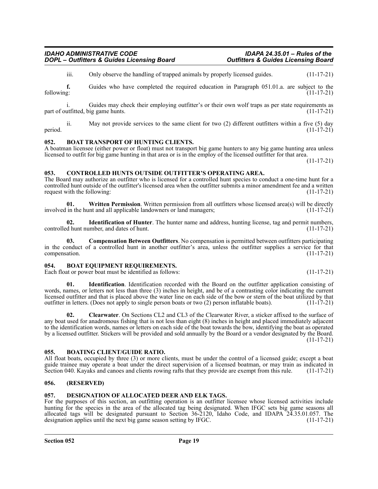iii. Only observe the handling of trapped animals by properly licensed guides. (11-17-21)

**f.** Guides who have completed the required education in Paragraph 051.01.a. are subject to the following: (11-17-21) following: (11-17-21)

Guides may check their employing outfitter's or their own wolf traps as per state requirements as ig game hunts. (11-17-21) part of outfitted, big game hunts.

ii. May not provide services to the same client for two (2) different outfitters within a five (5) day period.  $(11-17-21)$ 

#### <span id="page-18-0"></span>**052. BOAT TRANSPORT OF HUNTING CLIENTS.**

A boatman licensee (either power or float) must not transport big game hunters to any big game hunting area unless licensed to outfit for big game hunting in that area or is in the employ of the licensed outfitter for that area.

#### <span id="page-18-1"></span>**053. CONTROLLED HUNTS OUTSIDE OUTFITTER'S OPERATING AREA.**

The Board may authorize an outfitter who is licensed for a controlled hunt species to conduct a one-time hunt for a controlled hunt outside of the outfitter's licensed area when the outfitter submits a minor amendment fee and a written request with the following:  $(11-17-21)$ 

**01.** Written Permission. Written permission from all outfitters whose licensed area(s) will be directly in the hunt and all applicable landowners or land managers; (11-17-21) involved in the hunt and all applicable landowners or land managers;

**02. Identification of Hunter**. The hunter name and address, hunting license, tag and permit numbers, d hunt number, and dates of hunt. controlled hunt number, and dates of hunt.

**03. Compensation Between Outfitters**. No compensation is permitted between outfitters participating in the conduct of a controlled hunt in another outfitter's area, unless the outfitter supplies a service for that compensation. (11-17-21)

#### <span id="page-18-2"></span>**054. BOAT EQUIPMENT REQUIREMENTS.**

Each float or power boat must be identified as follows: (11-17-21)

**01. Identification**. Identification recorded with the Board on the outfitter application consisting of words, names, or letters not less than three (3) inches in height, and be of a contrasting color indicating the current licensed outfitter and that is placed above the water line on each side of the bow or stern of the boat utilized by that outfitter in letters. (Does not apply to single person boats or two (2) person inflatable boats). (11-17-21)

**02. Clearwater**. On Sections CL2 and CL3 of the Clearwater River, a sticker affixed to the surface of any boat used for anadromous fishing that is not less than eight (8) inches in height and placed immediately adjacent to the identification words, names or letters on each side of the boat towards the bow, identifying the boat as operated by a licensed outfitter. Stickers will be provided and sold annually by the Board or a vendor designated by the Board. (11-17-21)

#### <span id="page-18-3"></span>**055. BOATING CLIENT/GUIDE RATIO.**

All float boats, occupied by three (3) or more clients, must be under the control of a licensed guide; except a boat guide trainee may operate a boat under the direct supervision of a licensed boatman, or may train as indicated in Section 040. Kayaks and canoes and clients rowing rafts that they provide are exempt from this rule. (11-17-21)

#### <span id="page-18-4"></span>**056. (RESERVED)**

#### <span id="page-18-5"></span>**057. DESIGNATION OF ALLOCATED DEER AND ELK TAGS.**

For the purposes of this section, an outfitting operation is an outfitter licensee whose licensed activities include hunting for the species in the area of the allocated tag being designated. When IFGC sets big game seasons all allocated tags will be designated pursuant to Section 36-2120, Idaho Code, and IDAPA 24.35.01.057. The designation applies until the next big game season setting by IFGC. (11-17-21)

(11-17-21)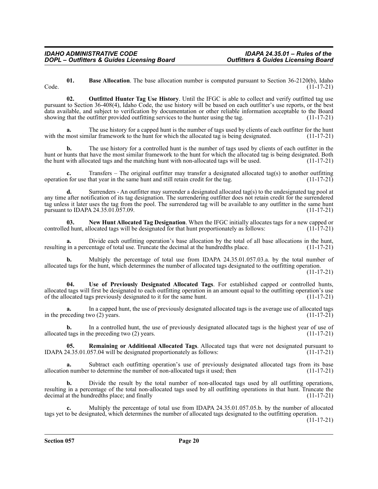**01. Base Allocation**. The base allocation number is computed pursuant to Section 36-2120(b), Idaho Code. (11-17-21)

**02. Outfitted Hunter Tag Use History**. Until the IFGC is able to collect and verify outfitted tag use pursuant to Section 36-408(4), Idaho Code, the use history will be based on each outfitter's use reports, or the best data available, and subject to verification by documentation or other reliable information acceptable to the Board showing that the outfitter provided outfitting services to the hunter using the tag. (11-17-21)

The use history for a capped hunt is the number of tags used by clients of each outfitter for the hunt ilar framework to the hunt for which the allocated tag is being designated. (11-17-21) with the most similar framework to the hunt for which the allocated tag is being designated.

**b.** The use history for a controlled hunt is the number of tags used by clients of each outfitter in the hunt or hunts that have the most similar framework to the hunt for which the allocated tag is being designated. Both the hunt with allocated tags and the matching hunt with non-allocated tags will be used. (11-17-21)

**c.** Transfers – The original outfitter may transfer a designated allocated tag(s) to another outfitting operation for use that year in the same hunt and still retain credit for the tag.  $(11-17-21)$ 

**d.** Surrenders - An outfitter may surrender a designated allocated tag(s) to the undesignated tag pool at any time after notification of its tag designation. The surrendering outfitter does not retain credit for the surrendered tag unless it later uses the tag from the pool. The surrendered tag will be available to any outfitter in the same hunt pursuant to IDAPA 24.35.01.057.09. pursuant to IDAPA 24.35.01.057.09.

**03.** New Hunt Allocated Tag Designation. When the IFGC initially allocates tags for a new capped or d hunt, allocated tags will be designated for that hunt proportionately as follows: (11-17-21) controlled hunt, allocated tags will be designated for that hunt proportionately as follows:

**a.** Divide each outfitting operation's base allocation by the total of all base allocations in the hunt, in a percentage of total use. Truncate the decimal at the hundredths place. (11-17-21) resulting in a percentage of total use. Truncate the decimal at the hundredths place.

**b.** Multiply the percentage of total use from IDAPA 24.35.01.057.03.a. by the total number of allocated tags for the hunt, which determines the number of allocated tags designated to the outfitting operation. (11-17-21)

**04. Use of Previously Designated Allocated Tags**. For established capped or controlled hunts, allocated tags will first be designated to each outfitting operation in an amount equal to the outfitting operation's use of the allocated tags previously designated to it for the same hunt. (11-17-21) of the allocated tags previously designated to it for the same hunt.

In a capped hunt, the use of previously designated allocated tags is the average use of allocated tags wo (2) years. (11-17-21) in the preceding two  $(2)$  years.

**b.** In a controlled hunt, the use of previously designated allocated tags is the highest year of use of allocated tags in the preceding two  $(2)$  years. (11-17-21)

**05. Remaining or Additional Allocated Tags**. Allocated tags that were not designated pursuant to (4.35.01.057.04 will be designated proportionately as follows: (11-17-21) IDAPA  $24.35.01.057.04$  will be designated proportionately as follows:

**a.** Subtract each outfitting operation's use of previously designated allocated tags from its base allocation number to determine the number of non-allocated tags it used; then (11-17-21)

**b.** Divide the result by the total number of non-allocated tags used by all outfitting operations, resulting in a percentage of the total non-allocated tags used by all outfitting operations in that hunt. Truncate the decimal at the hundredths place; and finally (11-17-21) (11-17-21)

**c.** Multiply the percentage of total use from IDAPA 24.35.01.057.05.b. by the number of allocated tags yet to be designated, which determines the number of allocated tags designated to the outfitting operation.

(11-17-21)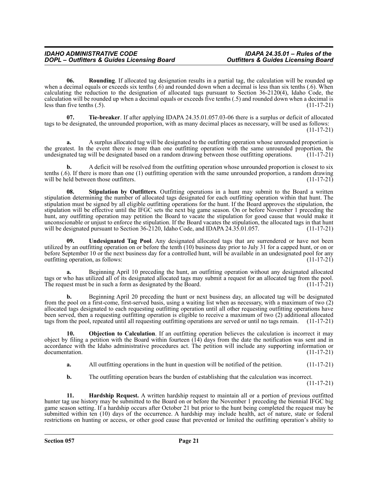**06. Rounding**. If allocated tag designation results in a partial tag, the calculation will be rounded up when a decimal equals or exceeds six tenths (.6) and rounded down when a decimal is less than six tenths (.6). When calculating the reduction to the designation of allocated tags pursuant to Section 36-2120(4), Idaho Code, the calculation will be rounded up when a decimal equals or exceeds five tenths (.5) and rounded down when a decimal is less than five tenths  $(.5)$ . (11-17-21)

**07. Tie-breaker**. If after applying IDAPA 24.35.01.057.03-06 there is a surplus or deficit of allocated tags to be designated, the unrounded proportion, with as many decimal places as necessary, will be used as follows: (11-17-21)

**a.** A surplus allocated tag will be designated to the outfitting operation whose unrounded proportion is the greatest. In the event there is more than one outfitting operation with the same unrounded proportion, the undesignated tag will be designated based on a random drawing between those outfitting operations. (11-17-21)

**b.** A deficit will be resolved from the outfitting operation whose unrounded proportion is closest to six tenths (.6). If there is more than one (1) outfitting operation with the same unrounded proportion, a random drawing will be held between those outfitters. (11-17-21)

**08. Stipulation by Outfitters**. Outfitting operations in a hunt may submit to the Board a written stipulation determining the number of allocated tags designated for each outfitting operation within that hunt. The stipulation must be signed by all eligible outfitting operations for the hunt. If the Board approves the stipulation, the stipulation will be effective until the IFGC sets the next big game season. On or before November 1 preceding the hunt, any outfitting operation may petition the Board to vacate the stipulation for good cause that would make it unconscionable or unjust to enforce the stipulation. If the Board vacates the stipulation, the allocated tags in that hunt will be designated pursuant to Section  $36-2120$ , Idaho Code, and IDAPA 24.35.01.057. (11-17-21)

**09. Undesignated Tag Pool**. Any designated allocated tags that are surrendered or have not been utilized by an outfitting operation on or before the tenth (10) business day prior to July 31 for a capped hunt, or on or before September 10 or the next business day for a controlled hunt, will be available in an undesignated pool for any outfitting operation, as follows: outfitting operation, as follows:

**a.** Beginning April 10 preceding the hunt, an outfitting operation without any designated allocated tags or who has utilized all of its designated allocated tags may submit a request for an allocated tag from the pool.<br>The request must be in such a form as designated by the Board. (11-17-21) The request must be in such a form as designated by the Board.

**b.** Beginning April 20 preceding the hunt or next business day, an allocated tag will be designated from the pool on a first-come, first-served basis, using a waiting list when as necessary, with a maximum of two (2) allocated tags designated to each requesting outfitting operation until all other requesting outfitting operations have been served, then a requesting outfitting operation is eligible to receive a maximum of two (2) additional allocated tags from the pool, repeated until all requesting outfitting operations are served or until no tags remain. (11-17-21)

**10. Objection to Calculation**. If an outfitting operation believes the calculation is incorrect it may object by filing a petition with the Board within fourteen  $(14)$  days from the date the notification was sent and in accordance with the Idaho administrative procedures act. The petition will include any supporting information or documentation. (11-17-21) documentation.

**a.** All outfitting operations in the hunt in question will be notified of the petition. (11-17-21)

**b.** The outfitting operation bears the burden of establishing that the calculation was incorrect.

(11-17-21)

**11. Hardship Request.** A written hardship request to maintain all or a portion of previous outfitted hunter tag use history may be submitted to the Board on or before the November 1 preceding the biennial IFGC big game season setting. If a hardship occurs after October 21 but prior to the hunt being completed the request may be submitted within ten (10) days of the occurrence. A hardship may include health, act of nature, state or federal restrictions on hunting or access, or other good cause that prevented or limited the outfitting operation's ability to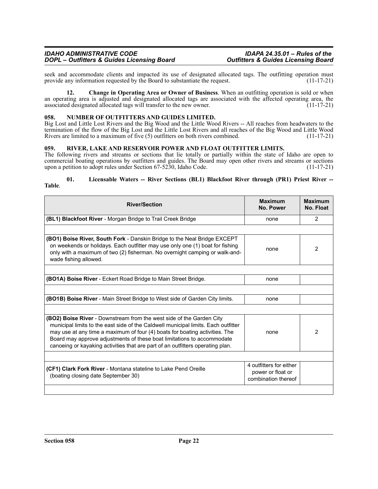seek and accommodate clients and impacted its use of designated allocated tags. The outfitting operation must<br>provide any information requested by the Board to substantiate the request. (11-17-21) provide any information requested by the Board to substantiate the request.

**12. Change in Operating Area or Owner of Business**. When an outfitting operation is sold or when an operating area is adjusted and designated allocated tags are associated with the affected operating area, the associated designated allocated tags will transfer to the new owner. (11-17-21)

#### <span id="page-21-0"></span>**058. NUMBER OF OUTFITTERS AND GUIDES LIMITED.**

Big Lost and Little Lost Rivers and the Big Wood and the Little Wood Rivers -- All reaches from headwaters to the termination of the flow of the Big Lost and the Little Lost Rivers and all reaches of the Big Wood and Little Wood Rivers are limited to a maximum of five (5) outfitters on both rivers combined. (11-17-21)

#### <span id="page-21-1"></span>**059. RIVER, LAKE AND RESERVOIR POWER AND FLOAT OUTFITTER LIMITS.**

The following rivers and streams or sections that lie totally or partially within the state of Idaho are open to commercial boating operations by outfitters and guides. The Board may open other rivers and streams or sections upon a petition to adopt rules under Section 67-5230, Idaho Code.

#### **01. Licensable Waters -- River Sections (BL1) Blackfoot River through (PR1) Priest River -- Table**.

| <b>River/Section</b>                                                                                                                                                                                                                                                                                                                                                                                         | <b>Maximum</b><br>No. Power                                         | <b>Maximum</b><br>No. Float |
|--------------------------------------------------------------------------------------------------------------------------------------------------------------------------------------------------------------------------------------------------------------------------------------------------------------------------------------------------------------------------------------------------------------|---------------------------------------------------------------------|-----------------------------|
| (BL1) Blackfoot River - Morgan Bridge to Trail Creek Bridge                                                                                                                                                                                                                                                                                                                                                  | none                                                                | $\mathcal{P}$               |
|                                                                                                                                                                                                                                                                                                                                                                                                              |                                                                     |                             |
| (BO1) Boise River, South Fork - Danskin Bridge to the Neal Bridge EXCEPT<br>on weekends or holidays. Each outfitter may use only one (1) boat for fishing<br>only with a maximum of two (2) fisherman. No overnight camping or walk-and-<br>wade fishing allowed.                                                                                                                                            | none                                                                | $\overline{2}$              |
| <b>(BO1A) Boise River</b> - Eckert Road Bridge to Main Street Bridge.                                                                                                                                                                                                                                                                                                                                        | none                                                                |                             |
| (BO1B) Boise River - Main Street Bridge to West side of Garden City limits.                                                                                                                                                                                                                                                                                                                                  | none                                                                |                             |
| <b>(BO2) Boise River</b> - Downstream from the west side of the Garden City<br>municipal limits to the east side of the Caldwell municipal limits. Each outfitter<br>may use at any time a maximum of four (4) boats for boating activities. The<br>Board may approve adjustments of these boat limitations to accommodate<br>canoeing or kayaking activities that are part of an outfitters operating plan. | none                                                                | 2                           |
| (CF1) Clark Fork River - Montana stateline to Lake Pend Oreille<br>(boating closing date September 30)                                                                                                                                                                                                                                                                                                       | 4 outfitters for either<br>power or float or<br>combination thereof |                             |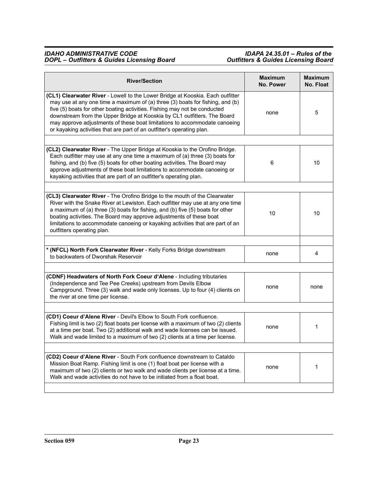| <b>River/Section</b>                                                                                                                                                                                                                                                                                                                                                                                                                                                            | <b>Maximum</b><br><b>No. Power</b> | <b>Maximum</b><br>No. Float |
|---------------------------------------------------------------------------------------------------------------------------------------------------------------------------------------------------------------------------------------------------------------------------------------------------------------------------------------------------------------------------------------------------------------------------------------------------------------------------------|------------------------------------|-----------------------------|
| (CL1) Clearwater River - Lowell to the Lower Bridge at Kooskia. Each outfitter<br>may use at any one time a maximum of (a) three (3) boats for fishing, and (b)<br>five (5) boats for other boating activities. Fishing may not be conducted<br>downstream from the Upper Bridge at Kooskia by CL1 outfitters. The Board<br>may approve adjustments of these boat limitations to accommodate canoeing<br>or kayaking activities that are part of an outfitter's operating plan. | none                               | 5                           |
|                                                                                                                                                                                                                                                                                                                                                                                                                                                                                 |                                    |                             |
| (CL2) Clearwater River - The Upper Bridge at Kooskia to the Orofino Bridge.<br>Each outfitter may use at any one time a maximum of (a) three (3) boats for<br>fishing, and (b) five (5) boats for other boating activities. The Board may<br>approve adjustments of these boat limitations to accommodate canoeing or<br>kayaking activities that are part of an outfitter's operating plan.                                                                                    | 6                                  | 10                          |
|                                                                                                                                                                                                                                                                                                                                                                                                                                                                                 |                                    |                             |
| (CL3) Clearwater River - The Orofino Bridge to the mouth of the Clearwater<br>River with the Snake River at Lewiston. Each outfitter may use at any one time<br>a maximum of (a) three (3) boats for fishing, and (b) five (5) boats for other<br>boating activities. The Board may approve adjustments of these boat<br>limitations to accommodate canoeing or kayaking activities that are part of an<br>outfitters operating plan.                                           | 10                                 | 10                          |
|                                                                                                                                                                                                                                                                                                                                                                                                                                                                                 |                                    |                             |
| * (NFCL) North Fork Clearwater River - Kelly Forks Bridge downstream<br>to backwaters of Dworshak Reservoir                                                                                                                                                                                                                                                                                                                                                                     | none                               | 4                           |
|                                                                                                                                                                                                                                                                                                                                                                                                                                                                                 |                                    |                             |
| (CDNF) Headwaters of North Fork Coeur d'Alene - Including tributaries<br>(Independence and Tee Pee Creeks) upstream from Devils Elbow<br>Campground. Three (3) walk and wade only licenses. Up to four (4) clients on<br>the river at one time per license.                                                                                                                                                                                                                     | none                               | none                        |
|                                                                                                                                                                                                                                                                                                                                                                                                                                                                                 |                                    |                             |
| (CD1) Coeur d'Alene River - Devil's Elbow to South Fork confluence.<br>Fishing limit is two (2) float boats per license with a maximum of two (2) clients<br>at a time per boat. Two (2) additional walk and wade licenses can be issued.<br>Walk and wade limited to a maximum of two (2) clients at a time per license.                                                                                                                                                       | none                               | 1                           |
|                                                                                                                                                                                                                                                                                                                                                                                                                                                                                 |                                    |                             |
| (CD2) Coeur d'Alene River - South Fork confluence downstream to Cataldo<br>Mission Boat Ramp. Fishing limit is one (1) float boat per license with a<br>maximum of two (2) clients or two walk and wade clients per license at a time.<br>Walk and wade activities do not have to be initiated from a float boat.                                                                                                                                                               | none                               | 1                           |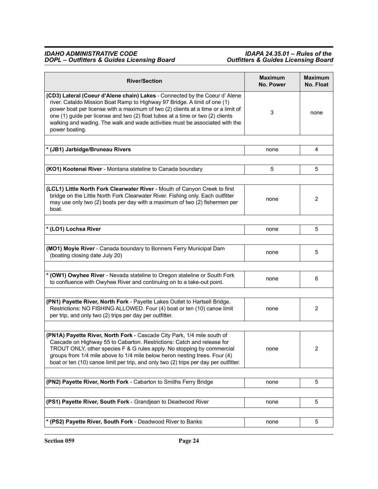| <b>River/Section</b>                                                                                                                                                                                                                                                                                                                                                                                                             | <b>Maximum</b><br><b>No. Power</b> | <b>Maximum</b><br>No. Float |
|----------------------------------------------------------------------------------------------------------------------------------------------------------------------------------------------------------------------------------------------------------------------------------------------------------------------------------------------------------------------------------------------------------------------------------|------------------------------------|-----------------------------|
| (CD3) Lateral (Coeur d'Alene chain) Lakes - Connected by the Coeur d' Alene<br>river. Cataldo Mission Boat Ramp to Highway 97 Bridge. A limit of one (1)<br>power boat per license with a maximum of two (2) clients at a time or a limit of<br>one (1) guide per license and two (2) float tubes at a time or two (2) clients<br>walking and wading. The walk and wade activities must be associated with the<br>power boating. | 3                                  | none                        |
| * (JB1) Jarbidge/Bruneau Rivers                                                                                                                                                                                                                                                                                                                                                                                                  | none                               | 4                           |
|                                                                                                                                                                                                                                                                                                                                                                                                                                  |                                    |                             |
| (KO1) Kootenai River - Montana stateline to Canada boundary                                                                                                                                                                                                                                                                                                                                                                      | 5                                  | 5                           |
| (LCL1) Little North Fork Clearwater River - Mouth of Canyon Creek to first<br>bridge on the Little North Fork Clearwater River. Fishing only. Each outfitter<br>may use only two (2) boats per day with a maximum of two (2) fishermen per<br>boat.                                                                                                                                                                              | none                               | 2                           |
| * (LO1) Lochsa River                                                                                                                                                                                                                                                                                                                                                                                                             | none                               | 5                           |
| (MO1) Moyie River - Canada boundary to Bonners Ferry Municipal Dam<br>(boating closing date July 20)                                                                                                                                                                                                                                                                                                                             | none                               | 5                           |
| * (OW1) Owyhee River - Nevada stateline to Oregon stateline or South Fork<br>to confluence with Owyhee River and continuing on to a take-out point.                                                                                                                                                                                                                                                                              | none                               | 6                           |
| (PN1) Payette River, North Fork - Payette Lakes Outlet to Hartsell Bridge.<br>Restrictions: NO FISHING ALLOWED. Four (4) boat or ten (10) canoe limit<br>per trip, and only two (2) trips per day per outfitter.                                                                                                                                                                                                                 | none                               | 2                           |
| (PN1A) Payette River, North Fork - Cascade City Park, 1/4 mile south of<br>Cascade on Highway 55 to Cabarton. Restrictions: Catch and release for<br>TROUT ONLY, other species F & G rules apply. No stopping by commercial<br>groups from 1/4 mile above to 1/4 mile below heron nesting trees. Four (4)<br>boat or ten (10) canoe limit per trip, and only two (2) trips per day per outfitter.                                | none                               | $\overline{c}$              |
| (PN2) Payette River, North Fork - Cabarton to Smiths Ferry Bridge                                                                                                                                                                                                                                                                                                                                                                | none                               | 5                           |
| (PS1) Payette River, South Fork - Grandjean to Deadwood River                                                                                                                                                                                                                                                                                                                                                                    | none                               | 5                           |
| * (PS2) Payette River, South Fork - Deadwood River to Banks                                                                                                                                                                                                                                                                                                                                                                      | none                               | 5                           |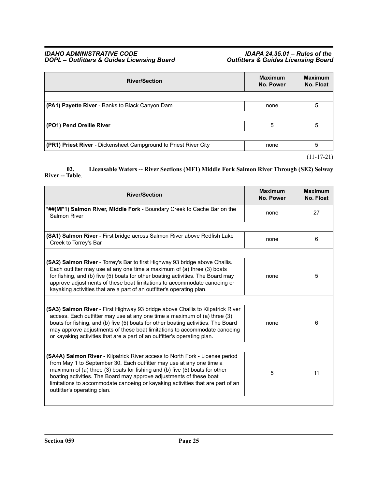| <b>River/Section</b>                                                    | <b>Maximum</b><br>No. Power | <b>Maximum</b><br>No. Float |
|-------------------------------------------------------------------------|-----------------------------|-----------------------------|
|                                                                         |                             |                             |
| (PA1) Payette River - Banks to Black Canyon Dam                         | none                        | 5                           |
|                                                                         |                             |                             |
| (PO1) Pend Oreille River                                                | 5                           | 5                           |
|                                                                         |                             |                             |
| <b>(PR1) Priest River</b> - Dickensheet Campground to Priest River City | none                        | 5                           |
|                                                                         |                             | $(11-17-21)$                |

**02. Licensable Waters -- River Sections (MF1) Middle Fork Salmon River Through (SE2) Selway River -- Table**.

| <b>River/Section</b>                                                                                                                                                                                                                                                                                                                                                                                                        | <b>Maximum</b><br><b>No. Power</b> | <b>Maximum</b><br>No. Float |
|-----------------------------------------------------------------------------------------------------------------------------------------------------------------------------------------------------------------------------------------------------------------------------------------------------------------------------------------------------------------------------------------------------------------------------|------------------------------------|-----------------------------|
| *##(MF1) Salmon River, Middle Fork - Boundary Creek to Cache Bar on the<br>Salmon River                                                                                                                                                                                                                                                                                                                                     | none                               | 27                          |
|                                                                                                                                                                                                                                                                                                                                                                                                                             |                                    |                             |
| (SA1) Salmon River - First bridge across Salmon River above Redfish Lake<br>Creek to Torrey's Bar                                                                                                                                                                                                                                                                                                                           | none                               | 6                           |
|                                                                                                                                                                                                                                                                                                                                                                                                                             |                                    |                             |
| (SA2) Salmon River - Torrey's Bar to first Highway 93 bridge above Challis.<br>Each outfitter may use at any one time a maximum of (a) three (3) boats<br>for fishing, and (b) five (5) boats for other boating activities. The Board may<br>approve adjustments of these boat limitations to accommodate canoeing or<br>kayaking activities that are a part of an outfitter's operating plan.                              | none                               | 5                           |
|                                                                                                                                                                                                                                                                                                                                                                                                                             |                                    |                             |
| (SA3) Salmon River - First Highway 93 bridge above Challis to Kilpatrick River<br>access. Each outfitter may use at any one time a maximum of (a) three (3)<br>boats for fishing, and (b) five (5) boats for other boating activities. The Board<br>may approve adjustments of these boat limitations to accommodate canoeing<br>or kayaking activities that are a part of an outfitter's operating plan.                   | none                               | 6                           |
|                                                                                                                                                                                                                                                                                                                                                                                                                             |                                    |                             |
| (SA4A) Salmon River - Kilpatrick River access to North Fork - License period<br>from May 1 to September 30. Each outfitter may use at any one time a<br>maximum of (a) three (3) boats for fishing and (b) five (5) boats for other<br>boating activities. The Board may approve adjustments of these boat<br>limitations to accommodate canoeing or kayaking activities that are part of an<br>outfitter's operating plan. | 5                                  | 11                          |
|                                                                                                                                                                                                                                                                                                                                                                                                                             |                                    |                             |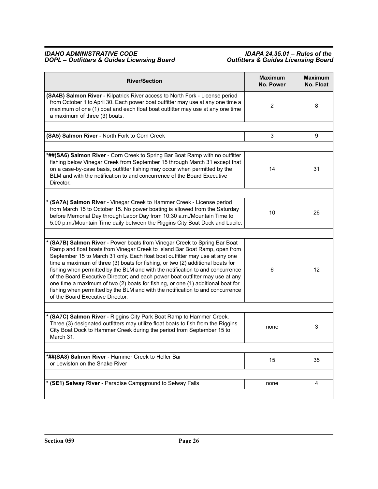| <b>River/Section</b>                                                                                                                                                                                                                                                                                                                                                                                                                                                                                                                                                                                                                                                                                 | <b>Maximum</b><br>No. Power | <b>Maximum</b><br>No. Float |
|------------------------------------------------------------------------------------------------------------------------------------------------------------------------------------------------------------------------------------------------------------------------------------------------------------------------------------------------------------------------------------------------------------------------------------------------------------------------------------------------------------------------------------------------------------------------------------------------------------------------------------------------------------------------------------------------------|-----------------------------|-----------------------------|
| (SA4B) Salmon River - Kilpatrick River access to North Fork - License period<br>from October 1 to April 30. Each power boat outfitter may use at any one time a<br>maximum of one (1) boat and each float boat outfitter may use at any one time<br>a maximum of three (3) boats.                                                                                                                                                                                                                                                                                                                                                                                                                    | 2                           | 8                           |
| (SA5) Salmon River - North Fork to Corn Creek                                                                                                                                                                                                                                                                                                                                                                                                                                                                                                                                                                                                                                                        | 3                           | 9                           |
| *##(SA6) Salmon River - Corn Creek to Spring Bar Boat Ramp with no outfitter<br>fishing below Vinegar Creek from September 15 through March 31 except that<br>on a case-by-case basis, outfitter fishing may occur when permitted by the<br>BLM and with the notification to and concurrence of the Board Executive<br>Director.                                                                                                                                                                                                                                                                                                                                                                     | 14                          | 31                          |
| * (SA7A) Salmon River - Vinegar Creek to Hammer Creek - License period<br>from March 15 to October 15. No power boating is allowed from the Saturday<br>before Memorial Day through Labor Day from 10:30 a.m./Mountain Time to<br>5:00 p.m./Mountain Time daily between the Riggins City Boat Dock and Lucile.                                                                                                                                                                                                                                                                                                                                                                                       | 10                          | 26                          |
| * (SA7B) Salmon River - Power boats from Vinegar Creek to Spring Bar Boat<br>Ramp and float boats from Vinegar Creek to Island Bar Boat Ramp, open from<br>September 15 to March 31 only. Each float boat outfitter may use at any one<br>time a maximum of three (3) boats for fishing, or two (2) additional boats for<br>fishing when permitted by the BLM and with the notification to and concurrence<br>of the Board Executive Director; and each power boat outfitter may use at any<br>one time a maximum of two (2) boats for fishing, or one (1) additional boat for<br>fishing when permitted by the BLM and with the notification to and concurrence<br>of the Board Executive Director. | 6                           | 12                          |
| * (SA7C) Salmon River - Riggins City Park Boat Ramp to Hammer Creek.<br>Three (3) designated outfitters may utilize float boats to fish from the Riggins<br>City Boat Dock to Hammer Creek during the period from September 15 to<br>March 31.                                                                                                                                                                                                                                                                                                                                                                                                                                                       | none                        | 3                           |
| *##(SA8) Salmon River - Hammer Creek to Heller Bar<br>or Lewiston on the Snake River                                                                                                                                                                                                                                                                                                                                                                                                                                                                                                                                                                                                                 | 15                          | 35                          |
| * (SE1) Selway River - Paradise Campground to Selway Falls                                                                                                                                                                                                                                                                                                                                                                                                                                                                                                                                                                                                                                           | none                        | 4                           |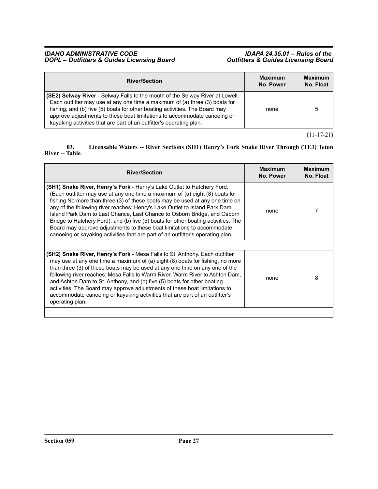| <b>River/Section</b>                                                                                                                                                                                                                                                                                                                                                                           | <b>Maximum</b><br>No. Power | <b>Maximum</b><br>No. Float |
|------------------------------------------------------------------------------------------------------------------------------------------------------------------------------------------------------------------------------------------------------------------------------------------------------------------------------------------------------------------------------------------------|-----------------------------|-----------------------------|
| (SE2) Selway River - Selway Falls to the mouth of the Selway River at Lowell.<br>Each outfitter may use at any one time a maximum of (a) three (3) boats for<br>fishing, and (b) five (5) boats for other boating activities. The Board may<br>approve adjustments to these boat limitations to accommodate canoeing or<br>kayaking activities that are part of an outfitter's operating plan. | none                        | 5                           |

(11-17-21)

### **03. Licensable Waters -- River Sections (SH1) Henry's Fork Snake River Through (TE3) Teton River -- Table**.

| <b>River/Section</b>                                                                                                                                                                                                                                                                                                                                                                                                                                                                                                                                                                                                                                  | <b>Maximum</b><br>No. Power | <b>Maximum</b><br>No. Float |
|-------------------------------------------------------------------------------------------------------------------------------------------------------------------------------------------------------------------------------------------------------------------------------------------------------------------------------------------------------------------------------------------------------------------------------------------------------------------------------------------------------------------------------------------------------------------------------------------------------------------------------------------------------|-----------------------------|-----------------------------|
| (SH1) Snake River, Henry's Fork - Henry's Lake Outlet to Hatchery Ford.<br>(Each outfitter may use at any one time a maximum of (a) eight (8) boats for<br>fishing No more than three (3) of these boats may be used at any one time on<br>any of the following river reaches: Henry's Lake Outlet to Island Park Dam,<br>Island Park Dam to Last Chance, Last Chance to Osborn Bridge, and Osborn<br>Bridge to Hatchery Ford), and (b) five (5) boats for other boating activities. The<br>Board may approve adjustments to these boat limitations to accommodate<br>canoeing or kayaking activities that are part of an outfitter's operating plan. | none                        |                             |
| (SH2) Snake River, Henry's Fork - Mesa Falls to St. Anthony. Each outfitter<br>may use at any one time a maximum of (a) eight (8) boats for fishing, no more<br>than three (3) of these boats may be used at any one time on any one of the<br>following river reaches: Mesa Falls to Warm River, Warm River to Ashton Dam,<br>and Ashton Dam to St. Anthony, and (b) five (5) boats for other boating<br>activities. The Board may approve adjustments of these boat limitations to<br>accommodate canoeing or kayaking activities that are part of an outfitter's<br>operating plan.                                                                | none                        | 8                           |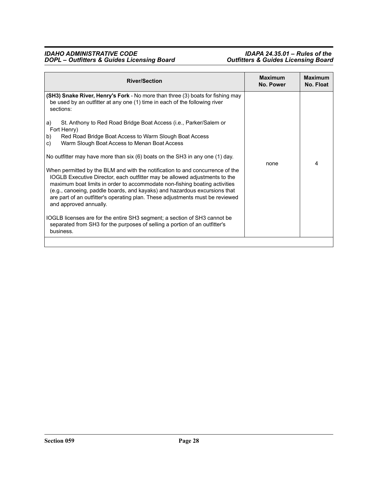| <b>River/Section</b>                                                                                                                                                                                                                                                                                                                                                                                                                                                                                                                                                                            | <b>Maximum</b><br>No. Power | <b>Maximum</b><br>No. Float |
|-------------------------------------------------------------------------------------------------------------------------------------------------------------------------------------------------------------------------------------------------------------------------------------------------------------------------------------------------------------------------------------------------------------------------------------------------------------------------------------------------------------------------------------------------------------------------------------------------|-----------------------------|-----------------------------|
| (SH3) Snake River, Henry's Fork - No more than three (3) boats for fishing may<br>be used by an outfitter at any one (1) time in each of the following river<br>sections:                                                                                                                                                                                                                                                                                                                                                                                                                       |                             |                             |
| St. Anthony to Red Road Bridge Boat Access (i.e., Parker/Salem or<br>a)<br>Fort Henry)<br>b)<br>Red Road Bridge Boat Access to Warm Slough Boat Access<br>c)<br>Warm Slough Boat Access to Menan Boat Access                                                                                                                                                                                                                                                                                                                                                                                    |                             |                             |
| No outfitter may have more than $six(6)$ boats on the SH3 in any one (1) day.<br>When permitted by the BLM and with the notification to and concurrence of the<br>IOGLB Executive Director, each outfitter may be allowed adjustments to the<br>maximum boat limits in order to accommodate non-fishing boating activities<br>(e.g., canoeing, paddle boards, and kayaks) and hazardous excursions that<br>are part of an outfitter's operating plan. These adjustments must be reviewed<br>and approved annually.<br>IOGLB licenses are for the entire SH3 segment; a section of SH3 cannot be | none                        | 4                           |
| separated from SH3 for the purposes of selling a portion of an outfitter's<br>business.                                                                                                                                                                                                                                                                                                                                                                                                                                                                                                         |                             |                             |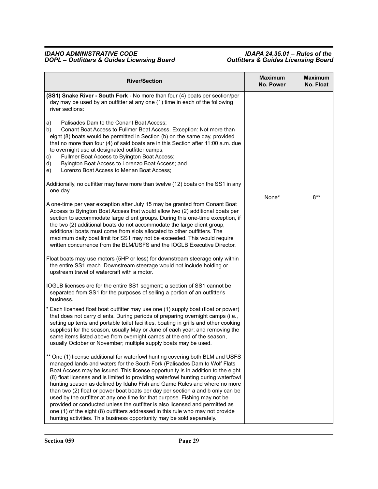| <b>River/Section</b>                                                                                                                                                                                                                                                                                                                                                                                                                                                                                                                                                                                                                                                                                                                                                                                                                                                                                                                                                                                                                                                                                                                                                                                                                                                                                                                                                                                                                                                                                                                                                                                                                                                                                                                         | <b>Maximum</b><br>No. Power | <b>Maximum</b><br>No. Float |
|----------------------------------------------------------------------------------------------------------------------------------------------------------------------------------------------------------------------------------------------------------------------------------------------------------------------------------------------------------------------------------------------------------------------------------------------------------------------------------------------------------------------------------------------------------------------------------------------------------------------------------------------------------------------------------------------------------------------------------------------------------------------------------------------------------------------------------------------------------------------------------------------------------------------------------------------------------------------------------------------------------------------------------------------------------------------------------------------------------------------------------------------------------------------------------------------------------------------------------------------------------------------------------------------------------------------------------------------------------------------------------------------------------------------------------------------------------------------------------------------------------------------------------------------------------------------------------------------------------------------------------------------------------------------------------------------------------------------------------------------|-----------------------------|-----------------------------|
| (SS1) Snake River - South Fork - No more than four (4) boats per section/per<br>day may be used by an outfitter at any one (1) time in each of the following<br>river sections:<br>Palisades Dam to the Conant Boat Access;<br>a)<br>b)<br>Conant Boat Access to Fullmer Boat Access. Exception: Not more than<br>eight (8) boats would be permitted in Section (b) on the same day, provided<br>that no more than four (4) of said boats are in this Section after 11:00 a.m. due<br>to overnight use at designated outfitter camps;<br>Fullmer Boat Access to Byington Boat Access;<br>c)<br>Byington Boat Access to Lorenzo Boat Access; and<br>d)<br>Lorenzo Boat Access to Menan Boat Access;<br>e)<br>Additionally, no outfitter may have more than twelve (12) boats on the SS1 in any<br>one day.<br>A one-time per year exception after July 15 may be granted from Conant Boat<br>Access to Byington Boat Access that would allow two (2) additional boats per<br>section to accommodate large client groups. During this one-time exception, if<br>the two (2) additional boats do not accommodate the large client group,<br>additional boats must come from slots allocated to other outfitters. The<br>maximum daily boat limit for SS1 may not be exceeded. This would require<br>written concurrence from the BLM/USFS and the IOGLB Executive Director.<br>Float boats may use motors (5HP or less) for downstream steerage only within<br>the entire SS1 reach. Downstream steerage would not include holding or<br>upstream travel of watercraft with a motor.<br>IOGLB licenses are for the entire SS1 segment; a section of SS1 cannot be<br>separated from SS1 for the purposes of selling a portion of an outfitter's | None*                       | $8**$                       |
| business.<br>* Each licensed float boat outfitter may use one (1) supply boat (float or power)<br>that does not carry clients. During periods of preparing overnight camps (i.e.,<br>setting up tents and portable toilet facilities, boating in grills and other cooking<br>supplies) for the season, usually May or June of each year; and removing the<br>same items listed above from overnight camps at the end of the season,<br>usually October or November; multiple supply boats may be used.                                                                                                                                                                                                                                                                                                                                                                                                                                                                                                                                                                                                                                                                                                                                                                                                                                                                                                                                                                                                                                                                                                                                                                                                                                       |                             |                             |
| ** One (1) license additional for waterfowl hunting covering both BLM and USFS<br>managed lands and waters for the South Fork (Palisades Dam to Wolf Flats<br>Boat Access may be issued. This license opportunity is in addition to the eight<br>(8) float licenses and is limited to providing waterfowl hunting during waterfowl<br>hunting season as defined by Idaho Fish and Game Rules and where no more<br>than two (2) float or power boat boats per day per section a and b only can be<br>used by the outfitter at any one time for that purpose. Fishing may not be<br>provided or conducted unless the outfitter is also licensed and permitted as<br>one (1) of the eight (8) outfitters addressed in this rule who may not provide<br>hunting activities. This business opportunity may be sold separately.                                                                                                                                                                                                                                                                                                                                                                                                                                                                                                                                                                                                                                                                                                                                                                                                                                                                                                                    |                             |                             |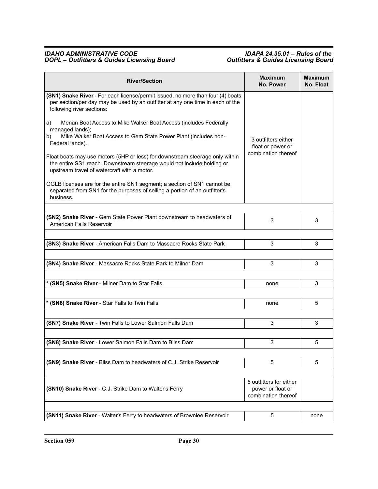| <b>River/Section</b>                                                                                                                                                                                  | <b>Maximum</b><br>No. Power                  | <b>Maximum</b><br>No. Float |
|-------------------------------------------------------------------------------------------------------------------------------------------------------------------------------------------------------|----------------------------------------------|-----------------------------|
| (SN1) Snake River - For each license/permit issued, no more than four (4) boats<br>per section/per day may be used by an outfitter at any one time in each of the<br>following river sections:        |                                              |                             |
| Menan Boat Access to Mike Walker Boat Access (includes Federally<br>a)<br>managed lands);                                                                                                             |                                              |                             |
| Mike Walker Boat Access to Gem State Power Plant (includes non-<br>b)<br>Federal lands).                                                                                                              | 3 outfitters either<br>float or power or     |                             |
| Float boats may use motors (5HP or less) for downstream steerage only within<br>the entire SS1 reach. Downstream steerage would not include holding or<br>upstream travel of watercraft with a motor. | combination thereof                          |                             |
| OGLB licenses are for the entire SN1 segment; a section of SN1 cannot be<br>separated from SN1 for the purposes of selling a portion of an outfitter's<br>business.                                   |                                              |                             |
|                                                                                                                                                                                                       |                                              |                             |
| (SN2) Snake River - Gem State Power Plant downstream to headwaters of<br>American Falls Reservoir                                                                                                     | 3                                            | 3                           |
|                                                                                                                                                                                                       |                                              |                             |
| (SN3) Snake River - American Falls Dam to Massacre Rocks State Park                                                                                                                                   | 3                                            | 3                           |
| (SN4) Snake River - Massacre Rocks State Park to Milner Dam                                                                                                                                           | 3                                            | 3                           |
| * (SN5) Snake River - Milner Dam to Star Falls                                                                                                                                                        | none                                         | 3                           |
| * (SN6) Snake River - Star Falls to Twin Falls                                                                                                                                                        | none                                         | 5                           |
|                                                                                                                                                                                                       |                                              |                             |
| (SN7) Snake River - Twin Falls to Lower Salmon Falls Dam                                                                                                                                              | 3                                            | 3                           |
| (SN8) Snake River - Lower Salmon Falls Dam to Bliss Dam                                                                                                                                               | 3                                            | 5                           |
|                                                                                                                                                                                                       |                                              |                             |
| (SN9) Snake River - Bliss Dam to headwaters of C.J. Strike Reservoir                                                                                                                                  | 5                                            | 5                           |
| (SN10) Snake River - C.J. Strike Dam to Walter's Ferry                                                                                                                                                | 5 outfitters for either<br>power or float or |                             |
|                                                                                                                                                                                                       | combination thereof                          |                             |
|                                                                                                                                                                                                       |                                              |                             |
| (SN11) Snake River - Walter's Ferry to headwaters of Brownlee Reservoir                                                                                                                               | 5                                            | none                        |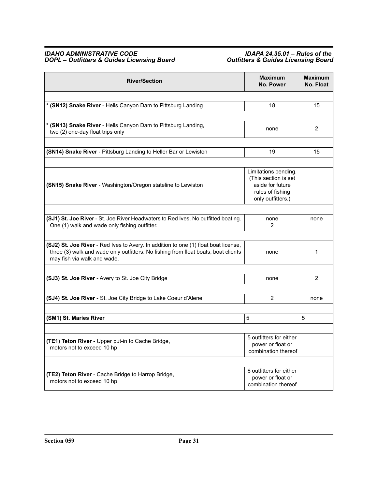| <b>River/Section</b>                                                                                                                                                                                     | <b>Maximum</b><br><b>No. Power</b>                                                                        | <b>Maximum</b><br>No. Float |
|----------------------------------------------------------------------------------------------------------------------------------------------------------------------------------------------------------|-----------------------------------------------------------------------------------------------------------|-----------------------------|
|                                                                                                                                                                                                          |                                                                                                           |                             |
| * (SN12) Snake River - Hells Canyon Dam to Pittsburg Landing                                                                                                                                             | 18                                                                                                        | 15                          |
|                                                                                                                                                                                                          |                                                                                                           |                             |
| * (SN13) Snake River - Hells Canyon Dam to Pittsburg Landing,<br>two (2) one-day float trips only                                                                                                        | none                                                                                                      | 2                           |
| (SN14) Snake River - Pittsburg Landing to Heller Bar or Lewiston                                                                                                                                         | 19                                                                                                        | 15                          |
|                                                                                                                                                                                                          |                                                                                                           |                             |
| (SN15) Snake River - Washington/Oregon stateline to Lewiston                                                                                                                                             | Limitations pending.<br>(This section is set<br>aside for future<br>rules of fishing<br>only outfitters.) |                             |
| (SJ1) St. Joe River - St. Joe River Headwaters to Red Ives. No outfitted boating.<br>One (1) walk and wade only fishing outfitter.                                                                       | none<br>2                                                                                                 | none                        |
|                                                                                                                                                                                                          |                                                                                                           |                             |
| (SJ2) St. Joe River - Red Ives to Avery. In addition to one (1) float boat license,<br>three (3) walk and wade only outfitters. No fishing from float boats, boat clients<br>may fish via walk and wade. | none                                                                                                      | 1                           |
|                                                                                                                                                                                                          |                                                                                                           |                             |
| (SJ3) St. Joe River - Avery to St. Joe City Bridge                                                                                                                                                       | none                                                                                                      | $\overline{2}$              |
|                                                                                                                                                                                                          |                                                                                                           |                             |
| (SJ4) St. Joe River - St. Joe City Bridge to Lake Coeur d'Alene                                                                                                                                          | 2                                                                                                         | none                        |
|                                                                                                                                                                                                          |                                                                                                           |                             |
| (SM1) St. Maries River                                                                                                                                                                                   | 5                                                                                                         | 5                           |
| (TE1) Teton River - Upper put-in to Cache Bridge,<br>motors not to exceed 10 hp                                                                                                                          | 5 outfitters for either<br>power or float or<br>combination thereof                                       |                             |
| (TE2) Teton River - Cache Bridge to Harrop Bridge,<br>motors not to exceed 10 hp                                                                                                                         | 6 outfitters for either<br>power or float or<br>combination thereof                                       |                             |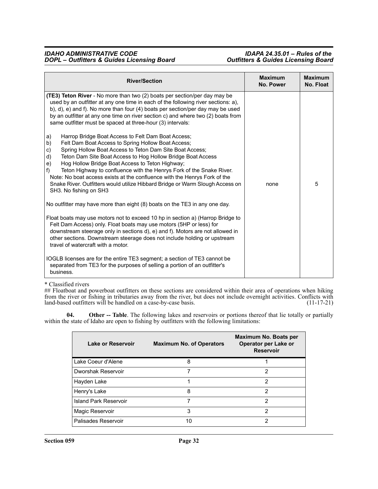| <b>River/Section</b>                                                                                                                                                                                                                                                                                                                                                                                                                                                                                                                                                                       | <b>Maximum</b><br><b>No. Power</b> | <b>Maximum</b><br>No. Float |
|--------------------------------------------------------------------------------------------------------------------------------------------------------------------------------------------------------------------------------------------------------------------------------------------------------------------------------------------------------------------------------------------------------------------------------------------------------------------------------------------------------------------------------------------------------------------------------------------|------------------------------------|-----------------------------|
| <b>(TE3) Teton River</b> - No more than two (2) boats per section/per day may be<br>used by an outfitter at any one time in each of the following river sections: a),<br>b), d), e) and f). No more than four (4) boats per section/per day may be used<br>by an outfitter at any one time on river section c) and where two (2) boats from<br>same outfitter must be spaced at three-hour (3) intervals:                                                                                                                                                                                  |                                    |                             |
| Harrop Bridge Boat Access to Felt Dam Boat Access;<br>a)<br>b)<br>Felt Dam Boat Access to Spring Hollow Boat Access;<br>Spring Hollow Boat Access to Teton Dam Site Boat Access;<br>c)<br>Teton Dam Site Boat Access to Hog Hollow Bridge Boat Access<br>d)<br>Hog Hollow Bridge Boat Access to Teton Highway;<br>e)<br>f)<br>Teton Highway to confluence with the Henrys Fork of the Snake River.<br>Note: No boat access exists at the confluence with the Henrys Fork of the<br>Snake River. Outfitters would utilize Hibbard Bridge or Warm Slough Access on<br>SH3. No fishing on SH3 | none                               | 5                           |
| No outfitter may have more than eight (8) boats on the TE3 in any one day.                                                                                                                                                                                                                                                                                                                                                                                                                                                                                                                 |                                    |                             |
| Float boats may use motors not to exceed 10 hp in section a) (Harrop Bridge to<br>Felt Dam Access) only. Float boats may use motors (5HP or less) for<br>downstream steerage only in sections d), e) and f). Motors are not allowed in<br>other sections. Downstream steerage does not include holding or upstream<br>travel of watercraft with a motor.                                                                                                                                                                                                                                   |                                    |                             |
| IOGLB licenses are for the entire TE3 segment; a section of TE3 cannot be<br>separated from TE3 for the purposes of selling a portion of an outfitter's<br>business.                                                                                                                                                                                                                                                                                                                                                                                                                       |                                    |                             |

#### \* Classified rivers

## Floatboat and powerboat outfitters on these sections are considered within their area of operations when hiking from the river or fishing in tributaries away from the river, but does not include overnight activities. Conflicts with land-based outfitters will be handled on a case-by-case basis. (11-17-21)

**04. Other -- Table**. The following lakes and reservoirs or portions thereof that lie totally or partially within the state of Idaho are open to fishing by outfitters with the following limitations:

| Lake or Reservoir            | <b>Maximum No. of Operators</b> | Maximum No. Boats per<br>Operator per Lake or<br><b>Reservoir</b> |
|------------------------------|---------------------------------|-------------------------------------------------------------------|
| Lake Coeur d'Alene           | 8                               |                                                                   |
| Dworshak Reservoir           | 7                               | 2                                                                 |
| Hayden Lake                  |                                 | 2                                                                 |
| Henry's Lake                 | 8                               | 2                                                                 |
| <b>Island Park Reservoir</b> |                                 | 2                                                                 |
| Magic Reservoir              | 3                               | 2                                                                 |
| Palisades Reservoir          | 10                              | 2                                                                 |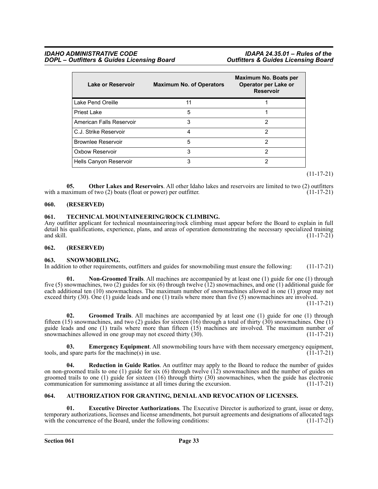| Lake or Reservoir         | <b>Maximum No. of Operators</b> | Maximum No. Boats per<br>Operator per Lake or<br><b>Reservoir</b> |
|---------------------------|---------------------------------|-------------------------------------------------------------------|
| Lake Pend Oreille         | 11                              |                                                                   |
| Priest Lake               | 5                               |                                                                   |
| American Falls Reservoir  | 3                               | 2                                                                 |
| C.J. Strike Reservoir     |                                 | 2                                                                 |
| <b>Brownlee Reservoir</b> | 5                               | 2                                                                 |
| Oxbow Reservoir           | 3                               | 2                                                                 |
| Hells Canyon Reservoir    | 3                               | 2                                                                 |

(11-17-21)

**05. Other Lakes and Reservoirs**. All other Idaho lakes and reservoirs are limited to two (2) outfitters with a maximum of two (2) boats (float or power) per outfitter. (11-17-21)

#### <span id="page-32-0"></span>**060. (RESERVED)**

#### <span id="page-32-1"></span>**061. TECHNICAL MOUNTAINEERING/ROCK CLIMBING.**

Any outfitter applicant for technical mountaineering/rock climbing must appear before the Board to explain in full detail his qualifications, experience, plans, and areas of operation demonstrating the necessary specialized training and skill. (11-17-21) and skill.  $(11-17-21)$ 

### <span id="page-32-2"></span>**062. (RESERVED)**

### <span id="page-32-3"></span>**063. SNOWMOBILING.**

In addition to other requirements, outfitters and guides for snowmobiling must ensure the following: (11-17-21)

**01. Non-Groomed Trails**. All machines are accompanied by at least one (1) guide for one (1) through five (5) snowmachines, two (2) guides for six (6) through twelve (12) snowmachines, and one (1) additional guide for each additional ten (10) snowmachines. The maximum number of snowmachines allowed in one (1) group may not exceed thirty (30). One (1) guide leads and one (1) trails where more than five (5) snowmachines are involved.

 $(11-17-21)$ 

**02. Groomed Trails**. All machines are accompanied by at least one (1) guide for one (1) through fifteen (15) snowmachines, and two (2) guides for sixteen (16) through a total of thirty (30) snowmachines. One (1) guide leads and one (1) trails where more than fifteen (15) machines are involved. The maximum number of snowmachines allowed in one group may not exceed thirty  $(30)$ .  $(11-17-21)$ 

**03. Emergency Equipment**. All snowmobiling tours have with them necessary emergency equipment, d spare parts for the machine(s) in use. tools, and spare parts for the machine $(s)$  in use.

**04. Reduction in Guide Ratios**. An outfitter may apply to the Board to reduce the number of guides on non-groomed trails to one (1) guide for six (6) through twelve (12) snowmachines and the number of guides on groomed trails to one (1) guide for sixteen (16) through thirty (30) snowmachines, when the guide has electronic communication for summoning assistance at all times during the excursion. (11-17-21)

### <span id="page-32-4"></span>**064. AUTHORIZATION FOR GRANTING, DENIAL AND REVOCATION OF LICENSES.**

**01. Executive Director Authorizations**. The Executive Director is authorized to grant, issue or deny, temporary authorizations, licenses and license amendments, hot pursuit agreements and designations of allocated tags with the concurrence of the Board, under the following conditions: (11-17-21) with the concurrence of the Board, under the following conditions: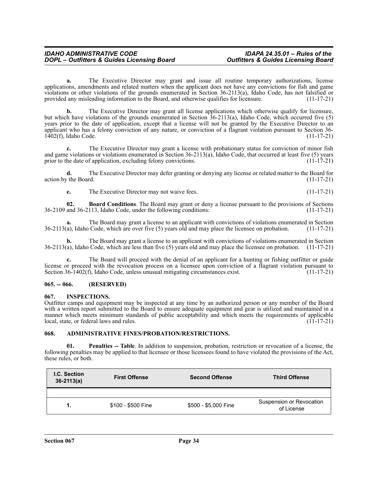**a.** The Executive Director may grant and issue all routine temporary authorizations, license applications, amendments and related matters when the applicant does not have any convictions for fish and game violations or other violations of the grounds enumerated in Section 36-2113(a), Idaho Code, has not falsified or provided any misleading information to the Board, and otherwise qualifies for licensure. (11-17-21)

**b.** The Executive Director may grant all license applications which otherwise qualify for licensure, but which have violations of the grounds enumerated in Section 36-2113(a), Idaho Code, which occurred five (5) years prior to the date of application, except that a license will not be granted by the Executive Director to an applicant who has a felony conviction of any nature, or conviction of a flagrant violation pursuant to Section 36-  $1402(f)$ , Idaho Code. (11-17-21)

**c.** The Executive Director may grant a license with probationary status for conviction of minor fish and game violations or violations enumerated in Section 36-2113(a), Idaho Code, that occurred at least five (5) years prior to the date of application, excluding felony convictions. (11-17-21)

**d.** The Executive Director may defer granting or denying any license or related matter to the Board for action by the Board. (11-17-21)

**e.** The Executive Director may not waive fees. (11-17-21)

**02. Board Conditions**. The Board may grant or deny a license pursuant to the provisions of Sections and 36-2113, Idaho Code, under the following conditions: (11-17-21) 36-2109 and 36-2113, Idaho Code, under the following conditions:

The Board may grant a license to an applicant with convictions of violations enumerated in Section Code, which are over five (5) years old and may place the licensee on probation. (11-17-21)  $36-2113(a)$ , Idaho Code, which are over five (5) years old and may place the licensee on probation.

**b.** The Board may grant a license to an applicant with convictions of violations enumerated in Section 36-2113(a), Idaho Code, which are less than five (5) years old and may place the licensee on probation. (11-17-21)

The Board will proceed with the denial of an applicant for a hunting or fishing outfitter or guide license or proceed with the revocation process on a licensee upon conviction of a flagrant violation pursuant to Section 36-1402(f), Idaho Code, unless unusual mitigating circumstances exist. (11-17-21)

### <span id="page-33-0"></span>**065. -- 066. (RESERVED)**

#### <span id="page-33-1"></span>**067. INSPECTIONS.**

Outfitter camps and equipment may be inspected at any time by an authorized person or any member of the Board with a written report submitted to the Board to ensure adequate equipment and gear is utilized and maintained in a manner which meets minimum standards of public acceptability and which meets the requirements of applicable  $\lceil \cdot \cdot \cdot \cdot \cdot \rceil$  local, state, or federal laws and rules. (11-17-21)

### <span id="page-33-2"></span>**068. ADMINISTRATIVE FINES/PROBATION/RESTRICTIONS.**

**01. Penalties -- Table**. In addition to suspension, probation, restriction or revocation of a license, the following penalties may be applied to that licensee or those licensees found to have violated the provisions of the Act, these rules, or both.

| <b>I.C. Section</b><br>$36-2113(a)$ | <b>First Offense</b> | <b>Second Offense</b> | <b>Third Offense</b>                   |
|-------------------------------------|----------------------|-----------------------|----------------------------------------|
|                                     |                      |                       |                                        |
| 1.                                  | \$100 - \$500 Fine   | \$500 - \$5,000 Fine  | Suspension or Revocation<br>of License |